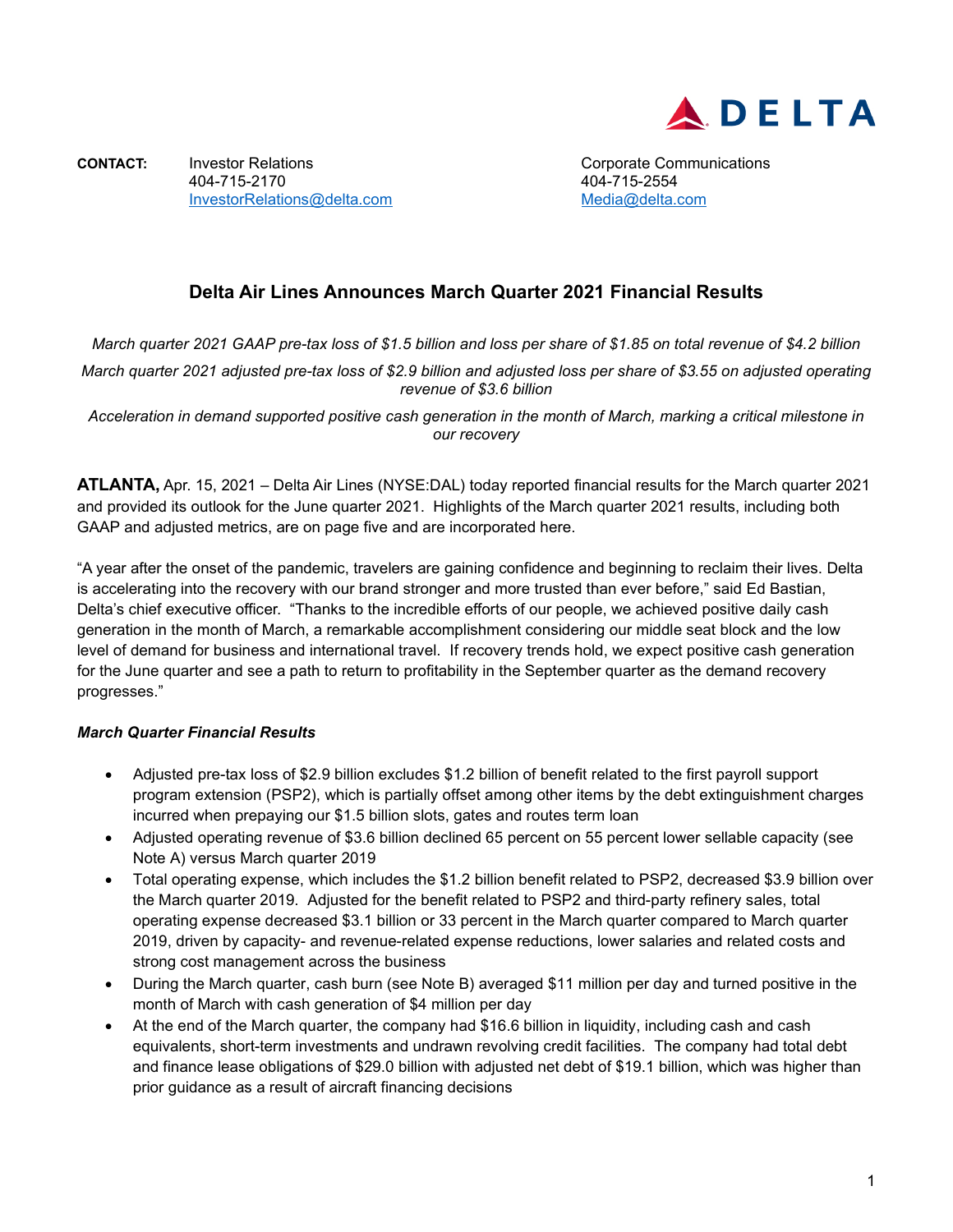

**CONTACT:** Investor Relations **CONTACT:** Investor Relations **CONTACT:** Corporate Communications 404-715-2170 404-715-2554 [InvestorRelations@delta.com](mailto:InvestorRelations@delta.com)

# **Delta Air Lines Announces March Quarter 2021 Financial Results**

*March quarter 2021 GAAP pre-tax loss of \$1.5 billion and loss per share of \$1.85 on total revenue of \$4.2 billion*

*March quarter 2021 adjusted pre-tax loss of \$2.9 billion and adjusted loss per share of \$3.55 on adjusted operating revenue of \$3.6 billion*

*Acceleration in demand supported positive cash generation in the month of March, marking a critical milestone in our recovery*

**ATLANTA,** Apr. 15, 2021 – Delta Air Lines (NYSE:DAL) today reported financial results for the March quarter 2021 and provided its outlook for the June quarter 2021. Highlights of the March quarter 2021 results, including both GAAP and adjusted metrics, are on page five and are incorporated here.

"A year after the onset of the pandemic, travelers are gaining confidence and beginning to reclaim their lives. Delta is accelerating into the recovery with our brand stronger and more trusted than ever before," said Ed Bastian, Delta's chief executive officer. "Thanks to the incredible efforts of our people, we achieved positive daily cash generation in the month of March, a remarkable accomplishment considering our middle seat block and the low level of demand for business and international travel. If recovery trends hold, we expect positive cash generation for the June quarter and see a path to return to profitability in the September quarter as the demand recovery progresses."

#### *March Quarter Financial Results*

- Adjusted pre-tax loss of \$2.9 billion excludes \$1.2 billion of benefit related to the first payroll support program extension (PSP2), which is partially offset among other items by the debt extinguishment charges incurred when prepaying our \$1.5 billion slots, gates and routes term loan
- Adjusted operating revenue of \$3.6 billion declined 65 percent on 55 percent lower sellable capacity (see Note A) versus March quarter 2019
- Total operating expense, which includes the \$1.2 billion benefit related to PSP2, decreased \$3.9 billion over the March quarter 2019. Adjusted for the benefit related to PSP2 and third-party refinery sales, total operating expense decreased \$3.1 billion or 33 percent in the March quarter compared to March quarter 2019, driven by capacity- and revenue-related expense reductions, lower salaries and related costs and strong cost management across the business
- During the March quarter, cash burn (see Note B) averaged \$11 million per day and turned positive in the month of March with cash generation of \$4 million per day
- At the end of the March quarter, the company had \$16.6 billion in liquidity, including cash and cash equivalents, short-term investments and undrawn revolving credit facilities. The company had total debt and finance lease obligations of \$29.0 billion with adjusted net debt of \$19.1 billion, which was higher than prior guidance as a result of aircraft financing decisions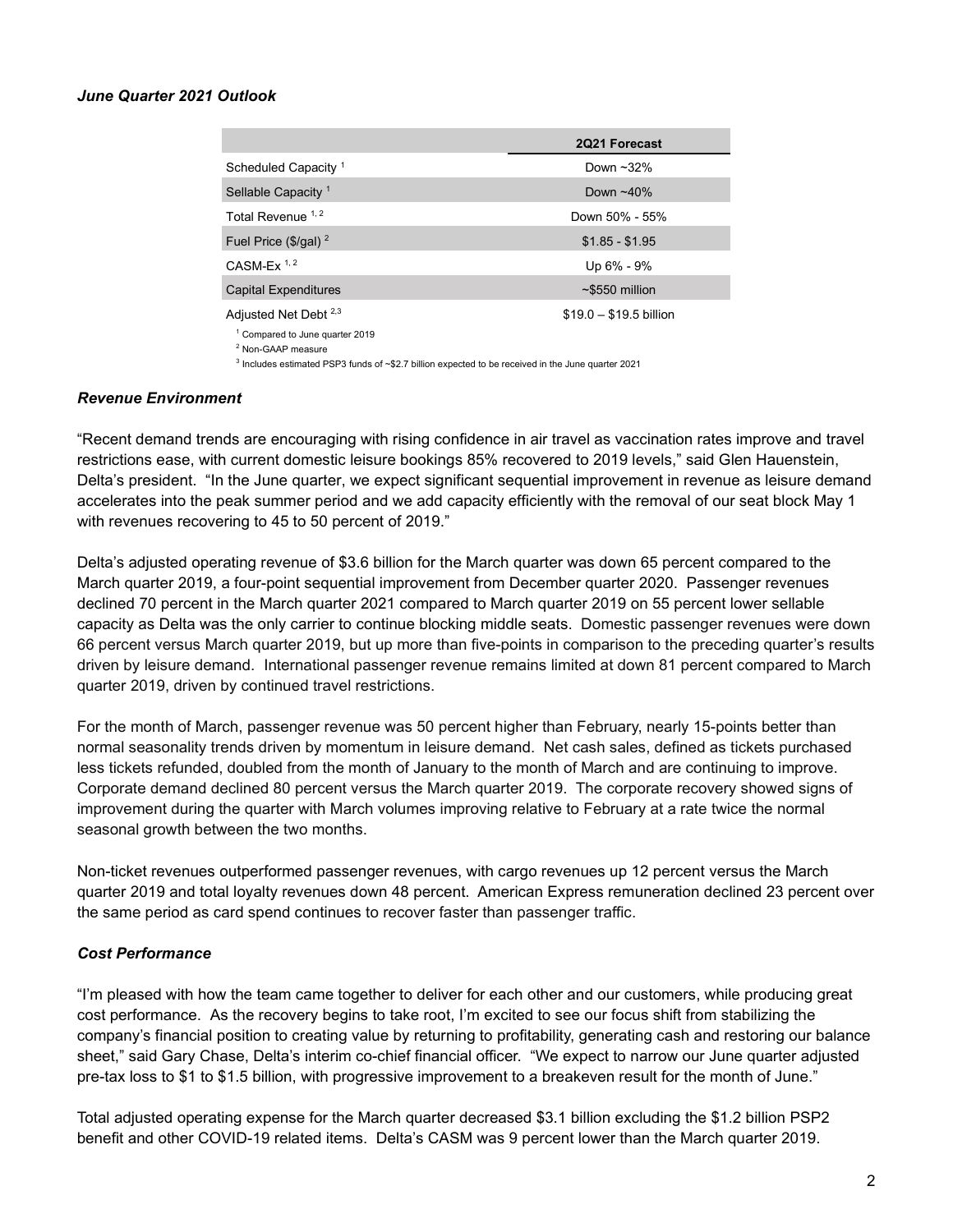#### *June Quarter 2021 Outlook*

|                                                             | 2Q21 Forecast           |
|-------------------------------------------------------------|-------------------------|
| Scheduled Capacity <sup>1</sup>                             | Down $~32\%$            |
| Sellable Capacity <sup>1</sup>                              | Down $~10\%$            |
| Total Revenue <sup>1,2</sup>                                | Down 50% - 55%          |
| Fuel Price $(\frac{5}{gal})^2$                              | $$1.85 - $1.95$         |
| CASM-Ex $1, 2$                                              | Up 6% - 9%              |
| <b>Capital Expenditures</b>                                 | $\sim$ \$550 million    |
| Adjusted Net Debt <sup>2,3</sup>                            | $$19.0 - $19.5$ billion |
| <sup>1</sup> Compared to June quarter 2019<br>$2.11$ $2.12$ |                         |

<sup>2</sup> Non-GAAP measure

<sup>3</sup> Includes estimated PSP3 funds of ~\$2.7 billion expected to be received in the June quarter 2021

#### *Revenue Environment*

"Recent demand trends are encouraging with rising confidence in air travel as vaccination rates improve and travel restrictions ease, with current domestic leisure bookings 85% recovered to 2019 levels," said Glen Hauenstein, Delta's president. "In the June quarter, we expect significant sequential improvement in revenue as leisure demand accelerates into the peak summer period and we add capacity efficiently with the removal of our seat block May 1 with revenues recovering to 45 to 50 percent of 2019."

Delta's adjusted operating revenue of \$3.6 billion for the March quarter was down 65 percent compared to the March quarter 2019, a four-point sequential improvement from December quarter 2020. Passenger revenues declined 70 percent in the March quarter 2021 compared to March quarter 2019 on 55 percent lower sellable capacity as Delta was the only carrier to continue blocking middle seats. Domestic passenger revenues were down 66 percent versus March quarter 2019, but up more than five-points in comparison to the preceding quarter's results driven by leisure demand. International passenger revenue remains limited at down 81 percent compared to March quarter 2019, driven by continued travel restrictions.

For the month of March, passenger revenue was 50 percent higher than February, nearly 15-points better than normal seasonality trends driven by momentum in leisure demand. Net cash sales, defined as tickets purchased less tickets refunded, doubled from the month of January to the month of March and are continuing to improve. Corporate demand declined 80 percent versus the March quarter 2019. The corporate recovery showed signs of improvement during the quarter with March volumes improving relative to February at a rate twice the normal seasonal growth between the two months.

Non-ticket revenues outperformed passenger revenues, with cargo revenues up 12 percent versus the March quarter 2019 and total loyalty revenues down 48 percent. American Express remuneration declined 23 percent over the same period as card spend continues to recover faster than passenger traffic.

#### *Cost Performance*

"I'm pleased with how the team came together to deliver for each other and our customers, while producing great cost performance. As the recovery begins to take root, I'm excited to see our focus shift from stabilizing the company's financial position to creating value by returning to profitability, generating cash and restoring our balance sheet," said Gary Chase, Delta's interim co-chief financial officer. "We expect to narrow our June quarter adjusted pre-tax loss to \$1 to \$1.5 billion, with progressive improvement to a breakeven result for the month of June."

Total adjusted operating expense for the March quarter decreased \$3.1 billion excluding the \$1.2 billion PSP2 benefit and other COVID-19 related items. Delta's CASM was 9 percent lower than the March quarter 2019.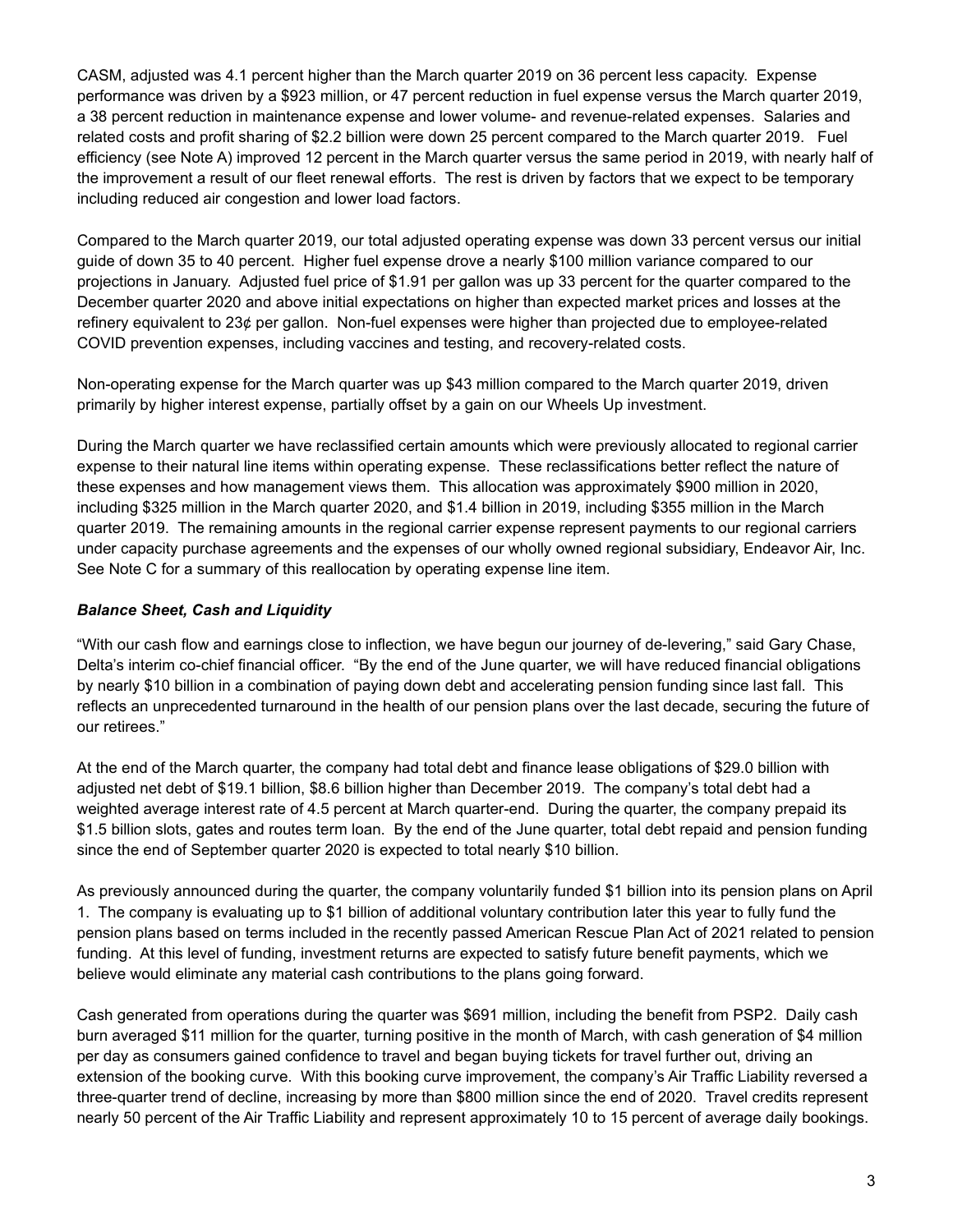CASM, adjusted was 4.1 percent higher than the March quarter 2019 on 36 percent less capacity. Expense performance was driven by a \$923 million, or 47 percent reduction in fuel expense versus the March quarter 2019, a 38 percent reduction in maintenance expense and lower volume- and revenue-related expenses. Salaries and related costs and profit sharing of \$2.2 billion were down 25 percent compared to the March quarter 2019. Fuel efficiency (see Note A) improved 12 percent in the March quarter versus the same period in 2019, with nearly half of the improvement a result of our fleet renewal efforts. The rest is driven by factors that we expect to be temporary including reduced air congestion and lower load factors.

Compared to the March quarter 2019, our total adjusted operating expense was down 33 percent versus our initial guide of down 35 to 40 percent. Higher fuel expense drove a nearly \$100 million variance compared to our projections in January. Adjusted fuel price of \$1.91 per gallon was up 33 percent for the quarter compared to the December quarter 2020 and above initial expectations on higher than expected market prices and losses at the refinery equivalent to 23¢ per gallon. Non-fuel expenses were higher than projected due to employee-related COVID prevention expenses, including vaccines and testing, and recovery-related costs.

Non-operating expense for the March quarter was up \$43 million compared to the March quarter 2019, driven primarily by higher interest expense, partially offset by a gain on our Wheels Up investment.

During the March quarter we have reclassified certain amounts which were previously allocated to regional carrier expense to their natural line items within operating expense. These reclassifications better reflect the nature of these expenses and how management views them. This allocation was approximately \$900 million in 2020, including \$325 million in the March quarter 2020, and \$1.4 billion in 2019, including \$355 million in the March quarter 2019. The remaining amounts in the regional carrier expense represent payments to our regional carriers under capacity purchase agreements and the expenses of our wholly owned regional subsidiary, Endeavor Air, Inc. See Note C for a summary of this reallocation by operating expense line item.

### *Balance Sheet, Cash and Liquidity*

"With our cash flow and earnings close to inflection, we have begun our journey of de-levering," said Gary Chase, Delta's interim co-chief financial officer. "By the end of the June quarter, we will have reduced financial obligations by nearly \$10 billion in a combination of paying down debt and accelerating pension funding since last fall. This reflects an unprecedented turnaround in the health of our pension plans over the last decade, securing the future of our retirees."

At the end of the March quarter, the company had total debt and finance lease obligations of \$29.0 billion with adjusted net debt of \$19.1 billion, \$8.6 billion higher than December 2019. The company's total debt had a weighted average interest rate of 4.5 percent at March quarter-end. During the quarter, the company prepaid its \$1.5 billion slots, gates and routes term loan. By the end of the June quarter, total debt repaid and pension funding since the end of September quarter 2020 is expected to total nearly \$10 billion.

As previously announced during the quarter, the company voluntarily funded \$1 billion into its pension plans on April 1. The company is evaluating up to \$1 billion of additional voluntary contribution later this year to fully fund the pension plans based on terms included in the recently passed American Rescue Plan Act of 2021 related to pension funding. At this level of funding, investment returns are expected to satisfy future benefit payments, which we believe would eliminate any material cash contributions to the plans going forward.

Cash generated from operations during the quarter was \$691 million, including the benefit from PSP2. Daily cash burn averaged \$11 million for the quarter, turning positive in the month of March, with cash generation of \$4 million per day as consumers gained confidence to travel and began buying tickets for travel further out, driving an extension of the booking curve. With this booking curve improvement, the company's Air Traffic Liability reversed a three-quarter trend of decline, increasing by more than \$800 million since the end of 2020. Travel credits represent nearly 50 percent of the Air Traffic Liability and represent approximately 10 to 15 percent of average daily bookings.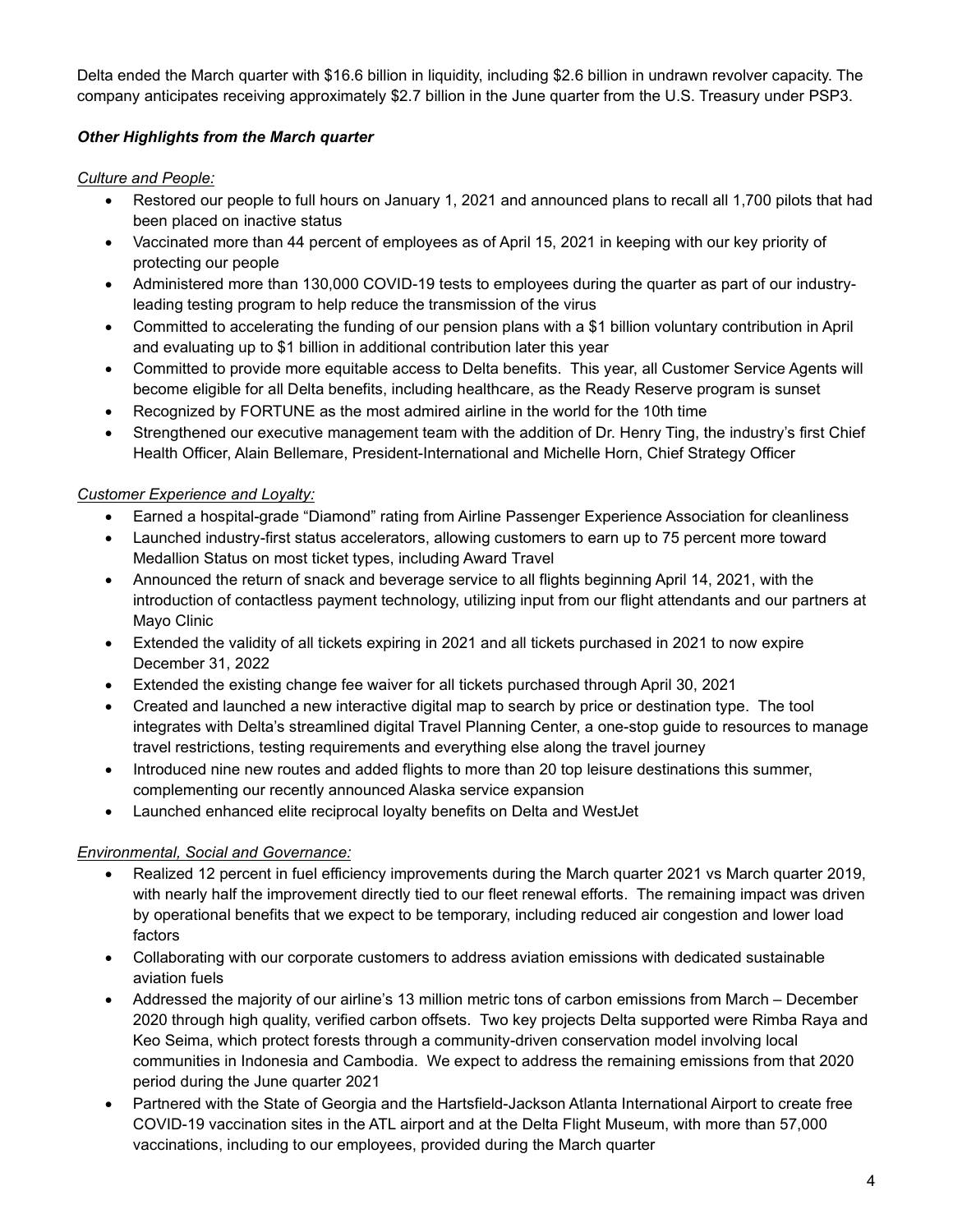Delta ended the March quarter with \$16.6 billion in liquidity, including \$2.6 billion in undrawn revolver capacity. The company anticipates receiving approximately \$2.7 billion in the June quarter from the U.S. Treasury under PSP3.

### *Other Highlights from the March quarter*

### *Culture and People:*

- Restored our people to full hours on January 1, 2021 and announced plans to recall all 1,700 pilots that had been placed on inactive status
- Vaccinated more than 44 percent of employees as of April 15, 2021 in keeping with our key priority of protecting our people
- Administered more than 130,000 COVID-19 tests to employees during the quarter as part of our industryleading testing program to help reduce the transmission of the virus
- Committed to accelerating the funding of our pension plans with a \$1 billion voluntary contribution in April and evaluating up to \$1 billion in additional contribution later this year
- Committed to provide more equitable access to Delta benefits. This year, all Customer Service Agents will become eligible for all Delta benefits, including healthcare, as the Ready Reserve program is sunset
- Recognized by FORTUNE as the most admired airline in the world for the 10th time
- Strengthened our executive management team with the addition of Dr. Henry Ting, the industry's first Chief Health Officer, Alain Bellemare, President-International and Michelle Horn, Chief Strategy Officer

### *Customer Experience and Loyalty:*

- Earned a hospital-grade "Diamond" rating from Airline Passenger Experience Association for cleanliness
- Launched industry-first status accelerators, allowing customers to earn up to 75 percent more toward Medallion Status on most ticket types, including Award Travel
- Announced the return of snack and beverage service to all flights beginning April 14, 2021, with the introduction of contactless payment technology, utilizing input from our flight attendants and our partners at Mayo Clinic
- Extended the validity of all tickets expiring in 2021 and all tickets purchased in 2021 to now expire December 31, 2022
- Extended the existing change fee waiver for all tickets purchased through April 30, 2021
- Created and launched a new interactive digital map to search by price or destination type. The tool integrates with Delta's streamlined digital Travel Planning Center, a one-stop guide to resources to manage travel restrictions, testing requirements and everything else along the travel journey
- Introduced nine new routes and added flights to more than 20 top leisure destinations this summer, complementing our recently announced Alaska service expansion
- Launched enhanced elite reciprocal loyalty benefits on Delta and WestJet

### *Environmental, Social and Governance:*

- Realized 12 percent in fuel efficiency improvements during the March quarter 2021 vs March quarter 2019, with nearly half the improvement directly tied to our fleet renewal efforts. The remaining impact was driven by operational benefits that we expect to be temporary, including reduced air congestion and lower load factors
- Collaborating with our corporate customers to address aviation emissions with dedicated sustainable aviation fuels
- Addressed the majority of our airline's 13 million metric tons of carbon emissions from March December 2020 through high quality, verified carbon offsets. Two key projects Delta supported were Rimba Raya and Keo Seima, which protect forests through a community-driven conservation model involving local communities in Indonesia and Cambodia. We expect to address the remaining emissions from that 2020 period during the June quarter 2021
- Partnered with the State of Georgia and the Hartsfield-Jackson Atlanta International Airport to create free COVID-19 vaccination sites in the ATL airport and at the Delta Flight Museum, with more than 57,000 vaccinations, including to our employees, provided during the March quarter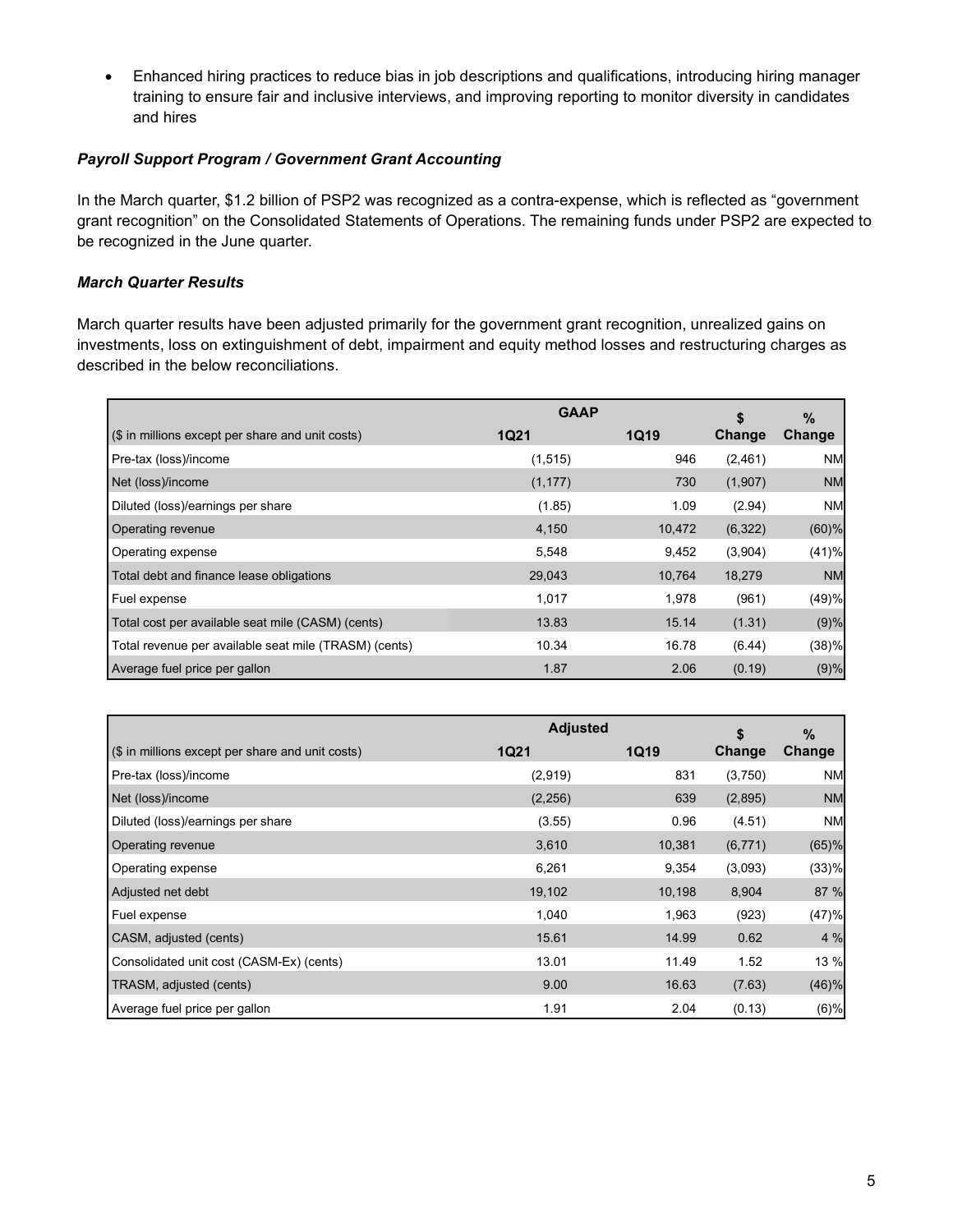• Enhanced hiring practices to reduce bias in job descriptions and qualifications, introducing hiring manager training to ensure fair and inclusive interviews, and improving reporting to monitor diversity in candidates and hires

#### *Payroll Support Program / Government Grant Accounting*

In the March quarter, \$1.2 billion of PSP2 was recognized as a contra-expense, which is reflected as "government grant recognition" on the Consolidated Statements of Operations. The remaining funds under PSP2 are expected to be recognized in the June quarter.

### *March Quarter Results*

March quarter results have been adjusted primarily for the government grant recognition, unrealized gains on investments, loss on extinguishment of debt, impairment and equity method losses and restructuring charges as described in the below reconciliations.

|                                                       | <b>GAAP</b> | \$          | $\%$          |               |
|-------------------------------------------------------|-------------|-------------|---------------|---------------|
| (\$ in millions except per share and unit costs)      | <b>1Q21</b> | <b>1Q19</b> | <b>Change</b> | <b>Change</b> |
| Pre-tax (loss)/income                                 | (1, 515)    | 946         | (2,461)       | <b>NM</b>     |
| Net (loss)/income                                     | (1, 177)    | 730         | (1,907)       | <b>NM</b>     |
| Diluted (loss)/earnings per share                     | (1.85)      | 1.09        | (2.94)        | <b>NM</b>     |
| <b>Operating revenue</b>                              | 4,150       | 10,472      | (6,322)       | (60)%         |
| Operating expense                                     | 5,548       | 9,452       | (3,904)       | (41)%         |
| Total debt and finance lease obligations              | 29,043      | 10,764      | 18,279        | <b>NM</b>     |
| Fuel expense                                          | 1,017       | 1,978       | (961)         | (49)%         |
| Total cost per available seat mile (CASM) (cents)     | 13.83       | 15.14       | (1.31)        | (9)%          |
| Total revenue per available seat mile (TRASM) (cents) | 10.34       | 16.78       | (6.44)        | (38)%         |
| Average fuel price per gallon                         | 1.87        | 2.06        | (0.19)        | (9)%          |

|                                                  | <b>Adjusted</b> |        | \$            | %         |  |
|--------------------------------------------------|-----------------|--------|---------------|-----------|--|
| (\$ in millions except per share and unit costs) | <b>1Q21</b>     | 1Q19   | <b>Change</b> | Change    |  |
| Pre-tax (loss)/income                            | (2,919)         | 831    | (3,750)       | <b>NM</b> |  |
| Net (loss)/income                                | (2,256)         | 639    | (2,895)       | <b>NM</b> |  |
| Diluted (loss)/earnings per share                | (3.55)          | 0.96   | (4.51)        | <b>NM</b> |  |
| Operating revenue                                | 3,610           | 10,381 | (6, 771)      | (65)%     |  |
| Operating expense                                | 6,261           | 9,354  | (3,093)       | (33)%     |  |
| Adjusted net debt                                | 19,102          | 10,198 | 8,904         | 87 %      |  |
| Fuel expense                                     | 1,040           | 1,963  | (923)         | (47)%     |  |
| CASM, adjusted (cents)                           | 15.61           | 14.99  | 0.62          | 4 %       |  |
| Consolidated unit cost (CASM-Ex) (cents)         | 13.01           | 11.49  | 1.52          | 13 %      |  |
| TRASM, adjusted (cents)                          | 9.00            | 16.63  | (7.63)        | (46)%     |  |
| Average fuel price per gallon                    | 1.91            | 2.04   | (0.13)        | (6)%      |  |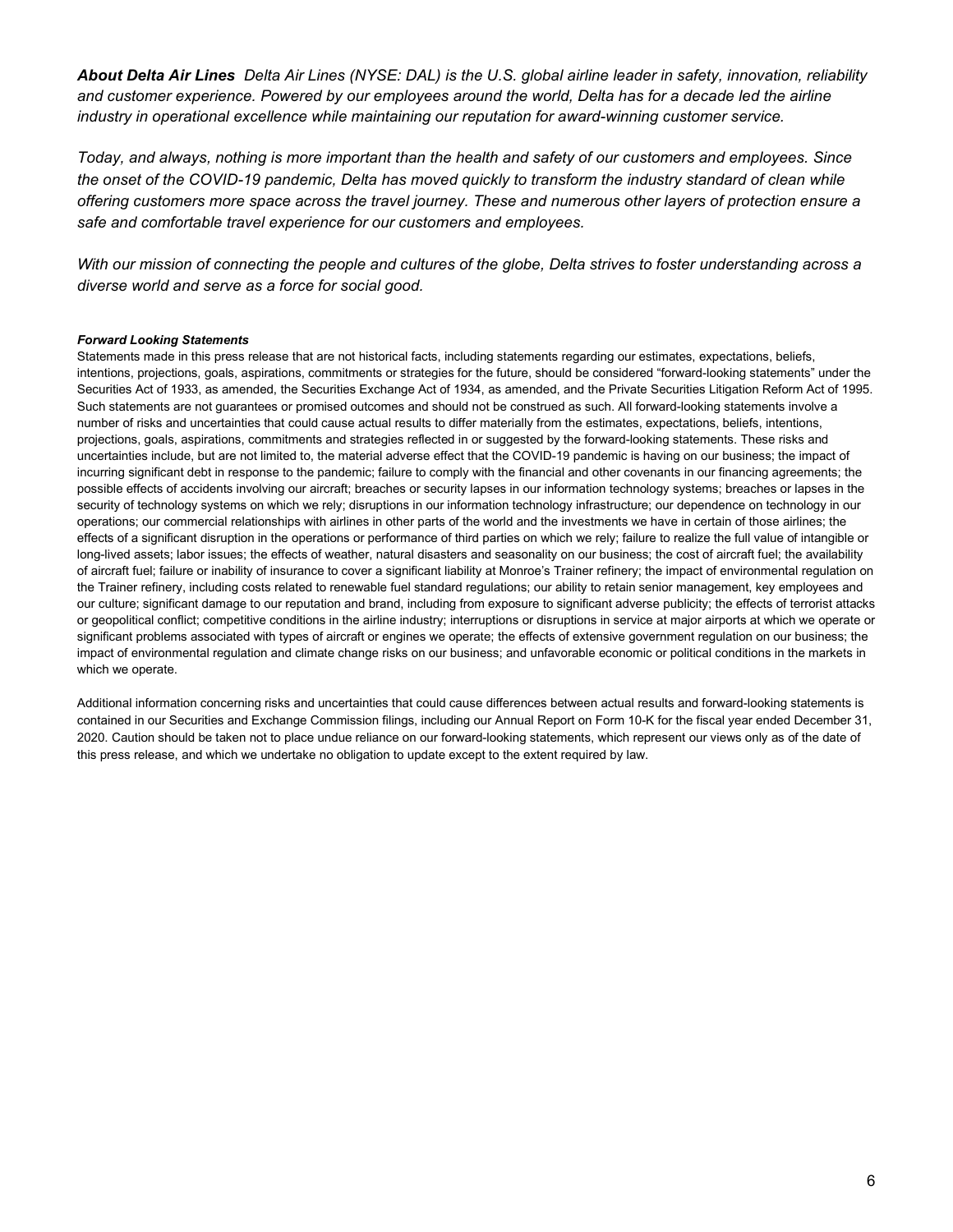*About Delta Air Lines Delta Air Lines (NYSE: DAL) is the U.S. global airline leader in safety, innovation, reliability and customer experience. Powered by our employees around the world, Delta has for a decade led the airline industry in operational excellence while maintaining our reputation for award-winning customer service.*

*Today, and always, nothing is more important than the health and safety of our customers and employees. Since the onset of the COVID-19 pandemic, Delta has moved quickly to transform the industry standard of clean while offering customers more space across the travel journey. These and numerous other layers of protection ensure a safe and comfortable travel experience for our customers and employees.* 

*With our mission of connecting the people and cultures of the globe, Delta strives to foster understanding across a diverse world and serve as a force for social good.*

#### *Forward Looking Statements*

Statements made in this press release that are not historical facts, including statements regarding our estimates, expectations, beliefs, intentions, projections, goals, aspirations, commitments or strategies for the future, should be considered "forward-looking statements" under the Securities Act of 1933, as amended, the Securities Exchange Act of 1934, as amended, and the Private Securities Litigation Reform Act of 1995. Such statements are not guarantees or promised outcomes and should not be construed as such. All forward-looking statements involve a number of risks and uncertainties that could cause actual results to differ materially from the estimates, expectations, beliefs, intentions, projections, goals, aspirations, commitments and strategies reflected in or suggested by the forward-looking statements. These risks and uncertainties include, but are not limited to, the material adverse effect that the COVID-19 pandemic is having on our business; the impact of incurring significant debt in response to the pandemic; failure to comply with the financial and other covenants in our financing agreements; the possible effects of accidents involving our aircraft; breaches or security lapses in our information technology systems; breaches or lapses in the security of technology systems on which we rely; disruptions in our information technology infrastructure; our dependence on technology in our operations; our commercial relationships with airlines in other parts of the world and the investments we have in certain of those airlines; the effects of a significant disruption in the operations or performance of third parties on which we rely; failure to realize the full value of intangible or long-lived assets; labor issues; the effects of weather, natural disasters and seasonality on our business; the cost of aircraft fuel; the availability of aircraft fuel; failure or inability of insurance to cover a significant liability at Monroe's Trainer refinery; the impact of environmental regulation on the Trainer refinery, including costs related to renewable fuel standard regulations; our ability to retain senior management, key employees and our culture; significant damage to our reputation and brand, including from exposure to significant adverse publicity; the effects of terrorist attacks or geopolitical conflict; competitive conditions in the airline industry; interruptions or disruptions in service at major airports at which we operate or significant problems associated with types of aircraft or engines we operate; the effects of extensive government regulation on our business; the impact of environmental regulation and climate change risks on our business; and unfavorable economic or political conditions in the markets in which we operate.

Additional information concerning risks and uncertainties that could cause differences between actual results and forward-looking statements is contained in our Securities and Exchange Commission filings, including our Annual Report on Form 10-K for the fiscal year ended December 31, 2020. Caution should be taken not to place undue reliance on our forward-looking statements, which represent our views only as of the date of this press release, and which we undertake no obligation to update except to the extent required by law.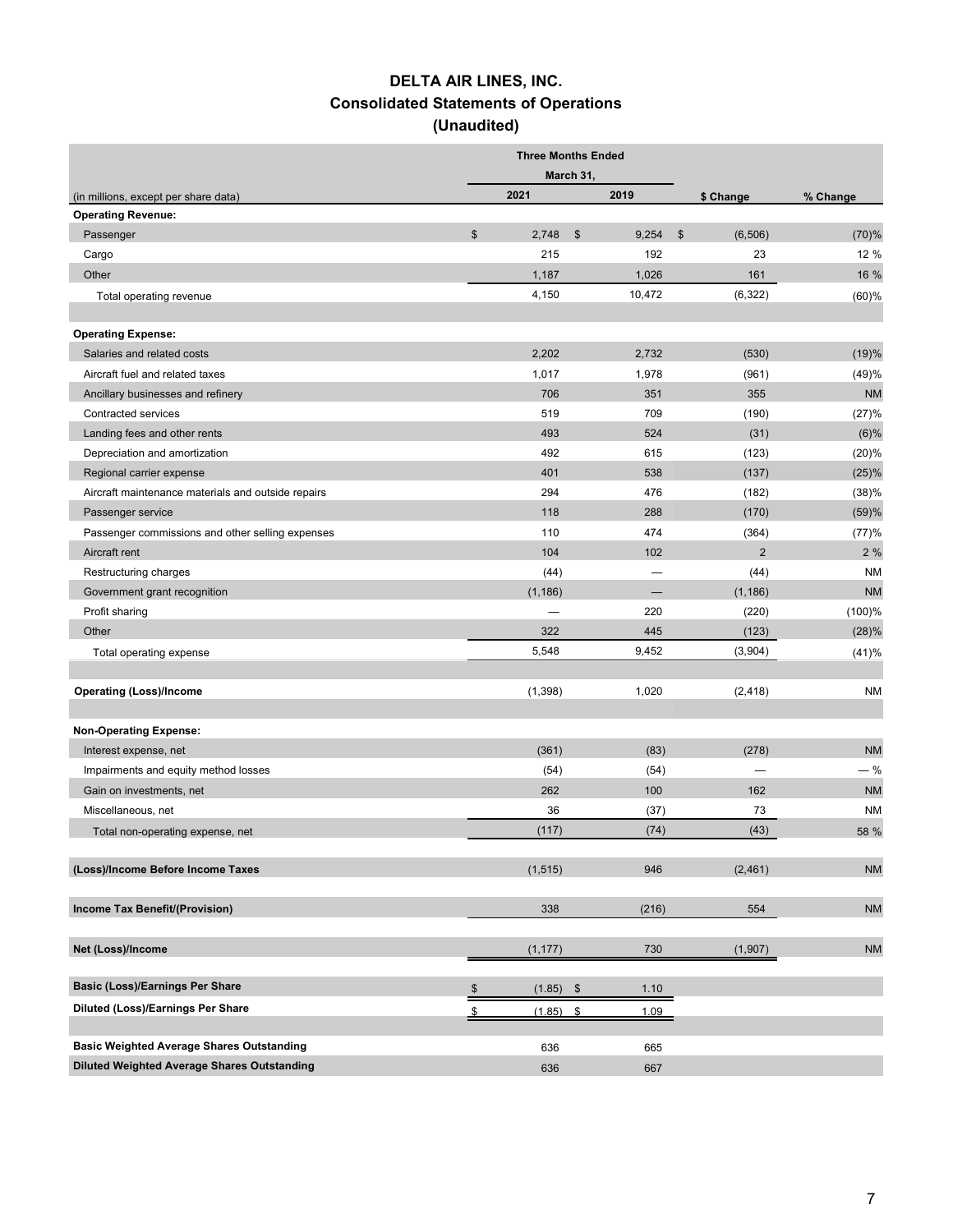# **DELTA AIR LINES, INC. Consolidated Statements of Operations (Unaudited)**

|                                                                  |               | <b>Three Months Ended</b> |                        |                            |           |
|------------------------------------------------------------------|---------------|---------------------------|------------------------|----------------------------|-----------|
|                                                                  |               |                           | March 31,              |                            |           |
| (in millions, except per share data)                             |               | 2021                      | 2019                   | \$ Change                  | % Change  |
| <b>Operating Revenue:</b>                                        |               |                           |                        |                            |           |
| Passenger                                                        | $\frac{1}{2}$ | 2,748                     | $\frac{1}{2}$<br>9,254 | $\mathfrak{S}$<br>(6, 506) | (70)%     |
| Cargo                                                            |               | 215                       | 192                    | 23                         | 12 %      |
| Other                                                            |               | 1,187                     | 1,026                  | 161                        | 16 %      |
| Total operating revenue                                          |               | 4,150                     | 10,472                 | (6,322)                    | $(60)$ %  |
| <b>Operating Expense:</b>                                        |               |                           |                        |                            |           |
| Salaries and related costs                                       |               | 2,202                     | 2,732                  | (530)                      | (19)%     |
| Aircraft fuel and related taxes                                  |               | 1,017                     | 1,978                  | (961)                      | (49)%     |
| Ancillary businesses and refinery                                |               | 706                       | 351                    | 355                        | <b>NM</b> |
| Contracted services                                              |               | 519                       | 709                    | (190)                      | (27)%     |
| Landing fees and other rents                                     |               | 493                       | 524                    | (31)                       | (6)%      |
| Depreciation and amortization                                    |               | 492                       | 615                    | (123)                      | (20)%     |
| Regional carrier expense                                         |               | 401                       | 538                    | (137)                      | (25)%     |
| Aircraft maintenance materials and outside repairs               |               | 294                       | 476                    | (182)                      | (38)%     |
| Passenger service                                                |               | 118                       | 288                    | (170)                      | (59)%     |
| Passenger commissions and other selling expenses                 |               | 110                       | 474                    | (364)                      | (77)%     |
| Aircraft rent                                                    |               | 104                       | 102                    | $\overline{2}$             | 2 %       |
| Restructuring charges                                            |               | (44)                      |                        | (44)                       | <b>NM</b> |
| Government grant recognition                                     |               | (1, 186)                  |                        | (1, 186)                   | <b>NM</b> |
| Profit sharing                                                   |               |                           | 220                    | (220)                      | $(100)$ % |
| Other                                                            |               | 322                       | 445                    | (123)                      | (28)%     |
| Total operating expense                                          |               | 5,548                     | 9,452                  | (3,904)                    | (41)%     |
|                                                                  |               |                           |                        |                            |           |
| <b>Operating (Loss)/Income</b>                                   |               | (1,398)                   | 1,020                  | (2, 418)                   | <b>NM</b> |
| <b>Non-Operating Expense:</b>                                    |               |                           |                        |                            |           |
| Interest expense, net                                            |               | (361)                     | (83)                   | (278)                      | <b>NM</b> |
|                                                                  |               |                           |                        |                            | $-$ %     |
| Impairments and equity method losses<br>Gain on investments, net |               | (54)<br>262               | (54)<br>100            | $\qquad \qquad$<br>162     | <b>NM</b> |
|                                                                  |               |                           |                        |                            |           |
| Miscellaneous, net                                               |               | 36                        | (37)                   | 73                         | <b>NM</b> |
| Total non-operating expense, net                                 |               | (117)                     | (74)                   | (43)                       | 58 %      |
| (Loss)/Income Before Income Taxes                                |               | (1, 515)                  | 946                    | (2,461)                    | <b>NM</b> |
| Income Tax Benefit/(Provision)                                   |               | 338                       | (216)                  | 554                        | <b>NM</b> |
| Net (Loss)/Income                                                |               | (1, 177)                  | 730                    | (1,907)                    | <b>NM</b> |
|                                                                  |               |                           |                        |                            |           |
| <b>Basic (Loss)/Earnings Per Share</b>                           | \$            | $(1.85)$ \$               | 1.10                   |                            |           |
| Diluted (Loss)/Earnings Per Share                                |               | (1.85)                    | 1.09<br>\$             |                            |           |
| <b>Basic Weighted Average Shares Outstanding</b>                 |               | 636                       | 665                    |                            |           |
| Diluted Weighted Average Shares Outstanding                      |               | 636                       | 667                    |                            |           |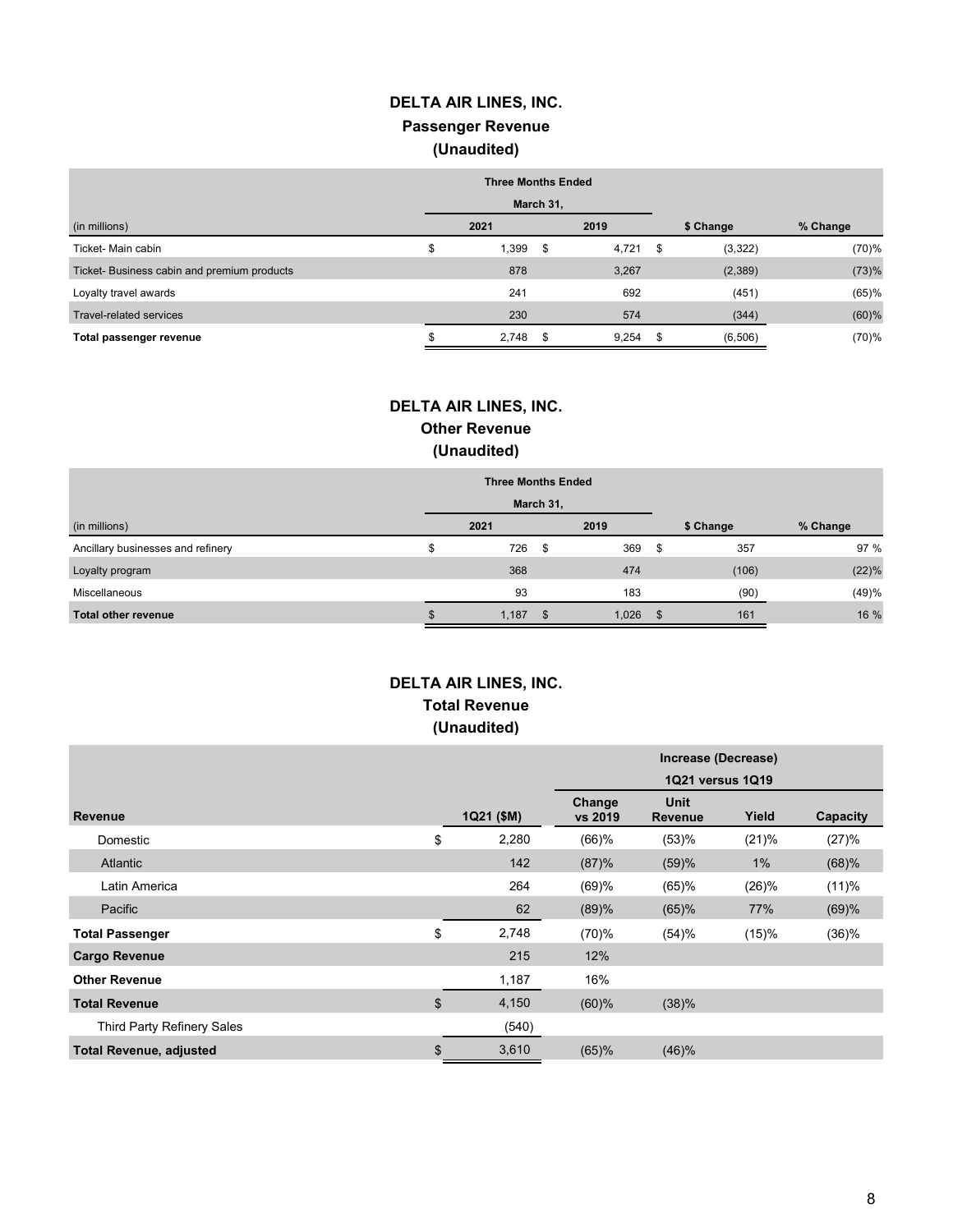# **DELTA AIR LINES, INC. Passenger Revenue (Unaudited)**

|                                            | <b>Three Months Ended</b> |           |       |                |          |
|--------------------------------------------|---------------------------|-----------|-------|----------------|----------|
|                                            |                           | March 31, |       |                |          |
| (in millions)                              | 2021                      |           | 2019  | \$ Change      | % Change |
| Ticket- Main cabin                         | \$<br>1,399               | - \$      | 4,721 | \$<br>(3,322)  | (70)%    |
| Ticket-Business cabin and premium products | 878                       |           | 3,267 | (2,389)        | (73)%    |
| Loyalty travel awards                      | 241                       |           | 692   | (451)          | (65)%    |
| Travel-related services                    | 230                       |           | 574   | (344)          | $(60)$ % |
| Total passenger revenue                    | 2,748                     | - \$      | 9,254 | \$<br>(6, 506) | (70)%    |

## **DELTA AIR LINES, INC. Other Revenue (Unaudited)**

|                                   | <b>Three Months Ended</b> |      |       |      |           |          |
|-----------------------------------|---------------------------|------|-------|------|-----------|----------|
|                                   | March 31,                 |      |       |      |           |          |
| (in millions)                     | 2021                      |      | 2019  |      | \$ Change | % Change |
| Ancillary businesses and refinery | 726                       | - \$ | 369   | - \$ | 357       | 97 %     |
| Loyalty program                   | 368                       |      | 474   |      | (106)     | (22)%    |
| Miscellaneous                     | 93                        |      | 183   |      | (90)      | (49)%    |
| <b>Total other revenue</b>        | 1,187                     | -\$  | 1,026 |      | 161       | 16 %     |

## **DELTA AIR LINES, INC. Total Revenue (Unaudited)**

|                                |             | Increase (Decrease) |                        |       |          |
|--------------------------------|-------------|---------------------|------------------------|-------|----------|
|                                |             | 1Q21 versus 1Q19    |                        |       |          |
| <b>Revenue</b>                 | 1Q21 (\$M)  | Change<br>vs 2019   | Unit<br><b>Revenue</b> | Yield | Capacity |
| Domestic                       | \$<br>2,280 | $(66)$ %            | (53)%                  | (21)% | (27)%    |
| <b>Atlantic</b>                | 142         | (87)%               | (59)%                  | 1%    | (68)%    |
| Latin America                  | 264         | (69)%               | (65)%                  | (26)% | (11)%    |
| Pacific                        | 62          | (89)%               | (65)%                  | 77%   | (69)%    |
| <b>Total Passenger</b>         | \$<br>2,748 | (70)%               | (54)%                  | (15)% | (36)%    |
| <b>Cargo Revenue</b>           | 215         | 12%                 |                        |       |          |
| <b>Other Revenue</b>           | 1,187       | 16%                 |                        |       |          |
| <b>Total Revenue</b>           | \$<br>4,150 | (60)%               | (38)%                  |       |          |
| Third Party Refinery Sales     | (540)       |                     |                        |       |          |
| <b>Total Revenue, adjusted</b> | \$<br>3,610 | (65)%               | (46)%                  |       |          |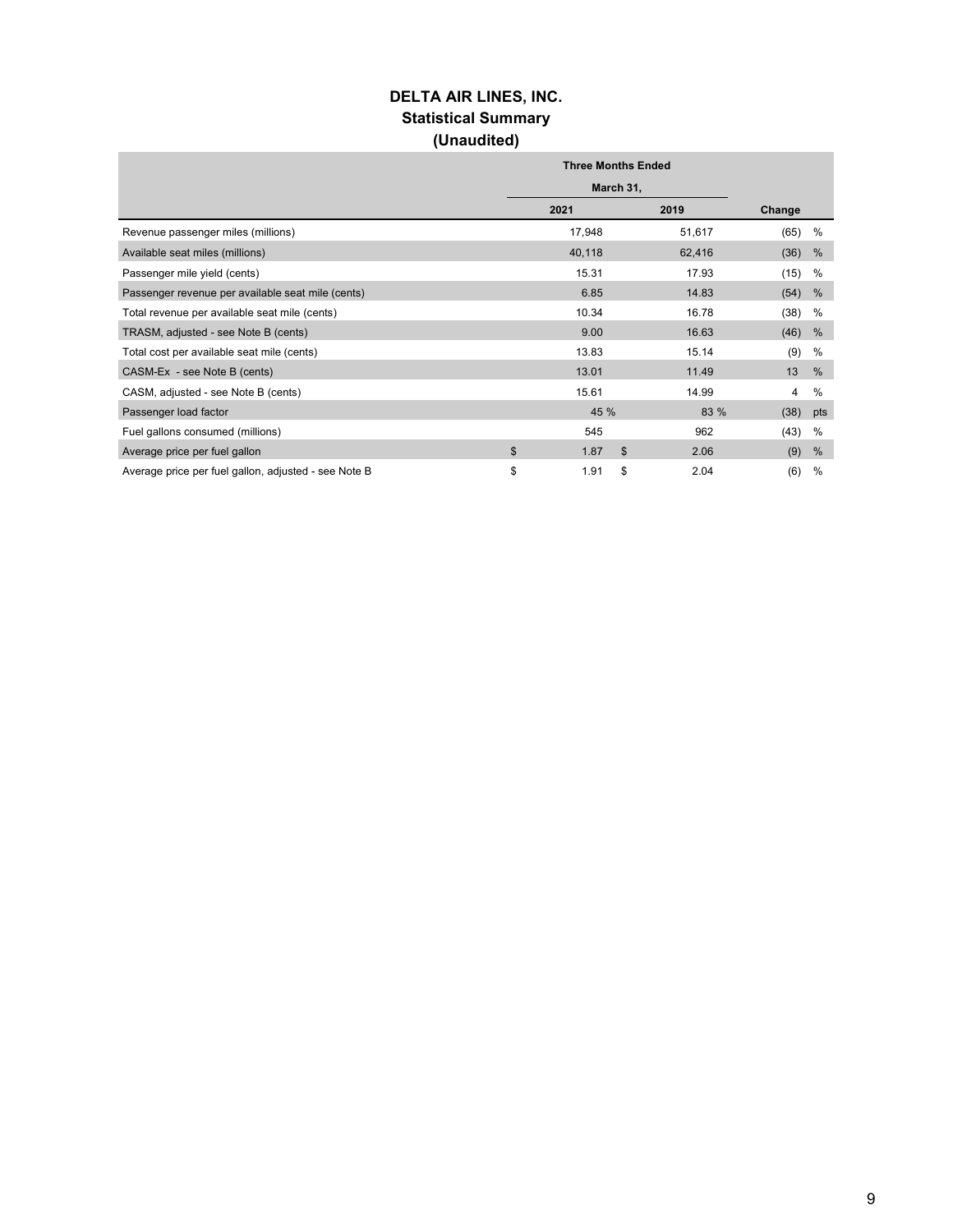## **DELTA AIR LINES, INC. Statistical Summary (Unaudited)**

|                                                      | <b>Three Months Ended</b> |        |                    |  |  |  |
|------------------------------------------------------|---------------------------|--------|--------------------|--|--|--|
|                                                      | March 31,                 |        |                    |  |  |  |
|                                                      | 2021                      | 2019   | Change             |  |  |  |
| Revenue passenger miles (millions)                   | 17,948                    | 51,617 | (65)<br>%          |  |  |  |
| Available seat miles (millions)                      | 40,118                    | 62,416 | (36)<br>%          |  |  |  |
| Passenger mile yield (cents)                         | 15.31                     | 17.93  | (15)<br>%          |  |  |  |
| Passenger revenue per available seat mile (cents)    | 6.85                      | 14.83  | (54)<br>%          |  |  |  |
| Total revenue per available seat mile (cents)        | 10.34                     | 16.78  | (38)<br>%          |  |  |  |
| TRASM, adjusted - see Note B (cents)                 | 9.00                      | 16.63  | (46)<br>%          |  |  |  |
| Total cost per available seat mile (cents)           | 13.83                     | 15.14  | (9)<br>%           |  |  |  |
| CASM-Ex - see Note B (cents)                         | 13.01                     | 11.49  | 13<br>$\%$         |  |  |  |
| CASM, adjusted - see Note B (cents)                  | 15.61                     | 14.99  | $\frac{0}{0}$<br>4 |  |  |  |
| Passenger load factor                                | 45 %                      | 83 %   | (38)<br>pts        |  |  |  |
| Fuel gallons consumed (millions)                     | 545                       | 962    | (43)<br>%          |  |  |  |
| Average price per fuel gallon                        | \$<br>1.87<br>\$          | 2.06   | (9)<br>%           |  |  |  |
| Average price per fuel gallon, adjusted - see Note B | \$<br>1.91<br>\$          | 2.04   | (6)<br>%           |  |  |  |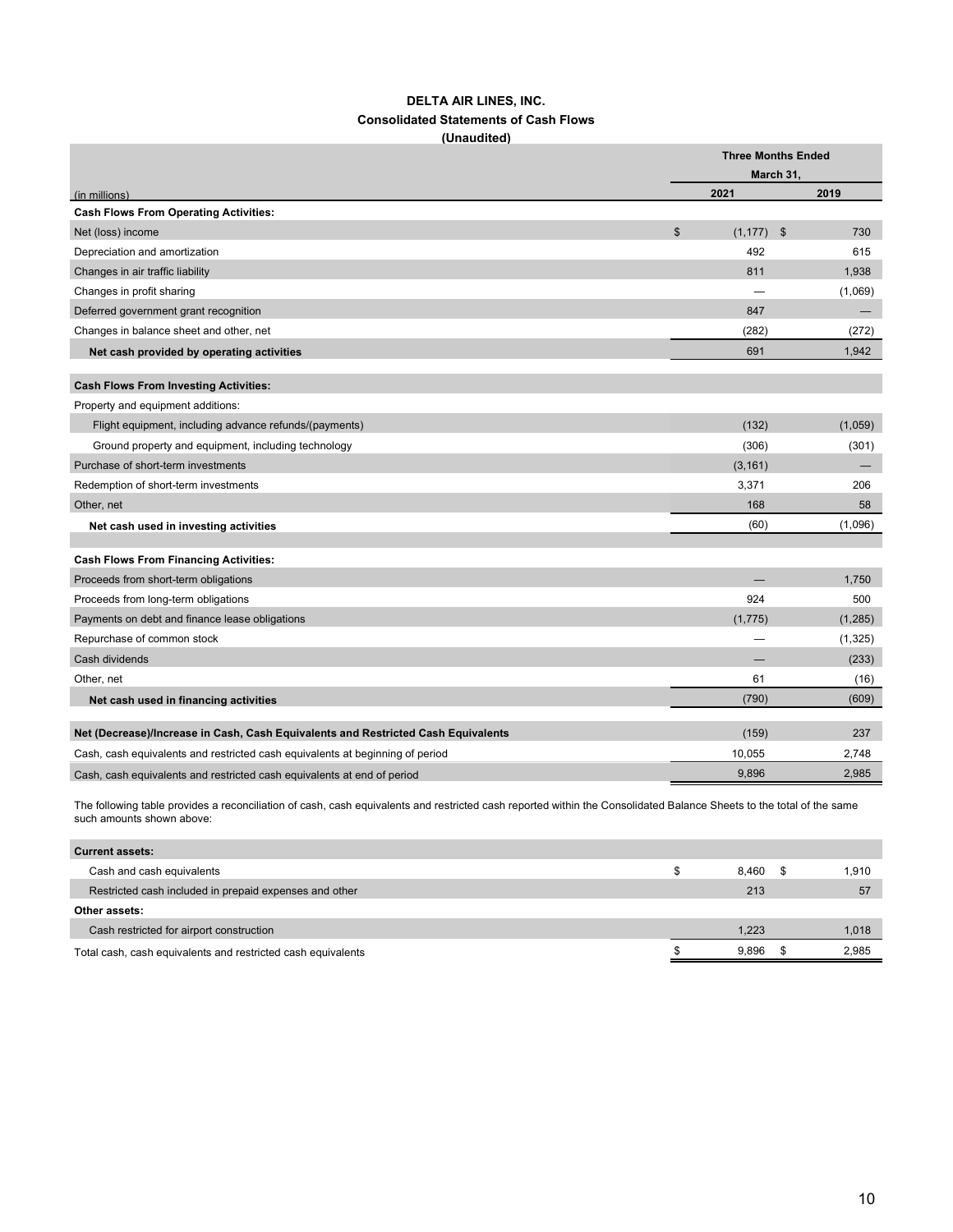#### **DELTA AIR LINES, INC. Consolidated Statements of Cash Flows (Unaudited)**

|                                                                                   |                | <b>Three Months Ended</b> |           |          |
|-----------------------------------------------------------------------------------|----------------|---------------------------|-----------|----------|
|                                                                                   |                |                           | March 31. |          |
| (in millions)                                                                     |                | 2021                      |           | 2019     |
| <b>Cash Flows From Operating Activities:</b>                                      |                |                           |           |          |
| Net (loss) income                                                                 | $\mathfrak{S}$ | $(1, 177)$ \$             |           | 730      |
| Depreciation and amortization                                                     |                | 492                       |           | 615      |
| Changes in air traffic liability                                                  |                | 811                       |           | 1,938    |
| Changes in profit sharing                                                         |                |                           |           | (1,069)  |
| Deferred government grant recognition                                             |                | 847                       |           |          |
| Changes in balance sheet and other, net                                           |                | (282)                     |           | (272)    |
| Net cash provided by operating activities                                         |                | 691                       |           | 1,942    |
| <b>Cash Flows From Investing Activities:</b>                                      |                |                           |           |          |
| Property and equipment additions:                                                 |                |                           |           |          |
| Flight equipment, including advance refunds/(payments)                            |                | (132)                     |           | (1,059)  |
| Ground property and equipment, including technology                               |                | (306)                     |           | (301)    |
| Purchase of short-term investments                                                |                | (3, 161)                  |           |          |
| Redemption of short-term investments                                              |                | 3,371                     |           | 206      |
| Other, net                                                                        |                | 168                       |           | 58       |
| Net cash used in investing activities                                             |                | (60)                      |           | (1,096)  |
|                                                                                   |                |                           |           |          |
| <b>Cash Flows From Financing Activities:</b>                                      |                |                           |           |          |
| Proceeds from short-term obligations                                              |                |                           |           | 1.750    |
| Proceeds from long-term obligations                                               |                | 924                       |           | 500      |
| Payments on debt and finance lease obligations                                    |                | (1,775)                   |           | (1, 285) |
| Repurchase of common stock                                                        |                |                           |           | (1, 325) |
| Cash dividends                                                                    |                |                           |           | (233)    |
| Other, net                                                                        |                | 61                        |           | (16)     |
| Net cash used in financing activities                                             |                | (790)                     |           | (609)    |
| Net (Decrease)/Increase in Cash, Cash Equivalents and Restricted Cash Equivalents |                | (159)                     |           | 237      |
| Cash, cash equivalents and restricted cash equivalents at beginning of period     |                | 10,055                    |           | 2,748    |
| Cash, cash equivalents and restricted cash equivalents at end of period           |                | 9,896                     |           | 2,985    |
|                                                                                   |                |                           |           |          |

The following table provides a reconciliation of cash, cash equivalents and restricted cash reported within the Consolidated Balance Sheets to the total of the same such amounts shown above:

| <b>Current assets:</b>                                       |     |       |       |
|--------------------------------------------------------------|-----|-------|-------|
| Cash and cash equivalents                                    | \$. | 8.460 | 1,910 |
| Restricted cash included in prepaid expenses and other       |     | 213   | 57    |
| Other assets:                                                |     |       |       |
| Cash restricted for airport construction                     |     | 1.223 | 1,018 |
| Total cash, cash equivalents and restricted cash equivalents |     | 9.896 | 2.985 |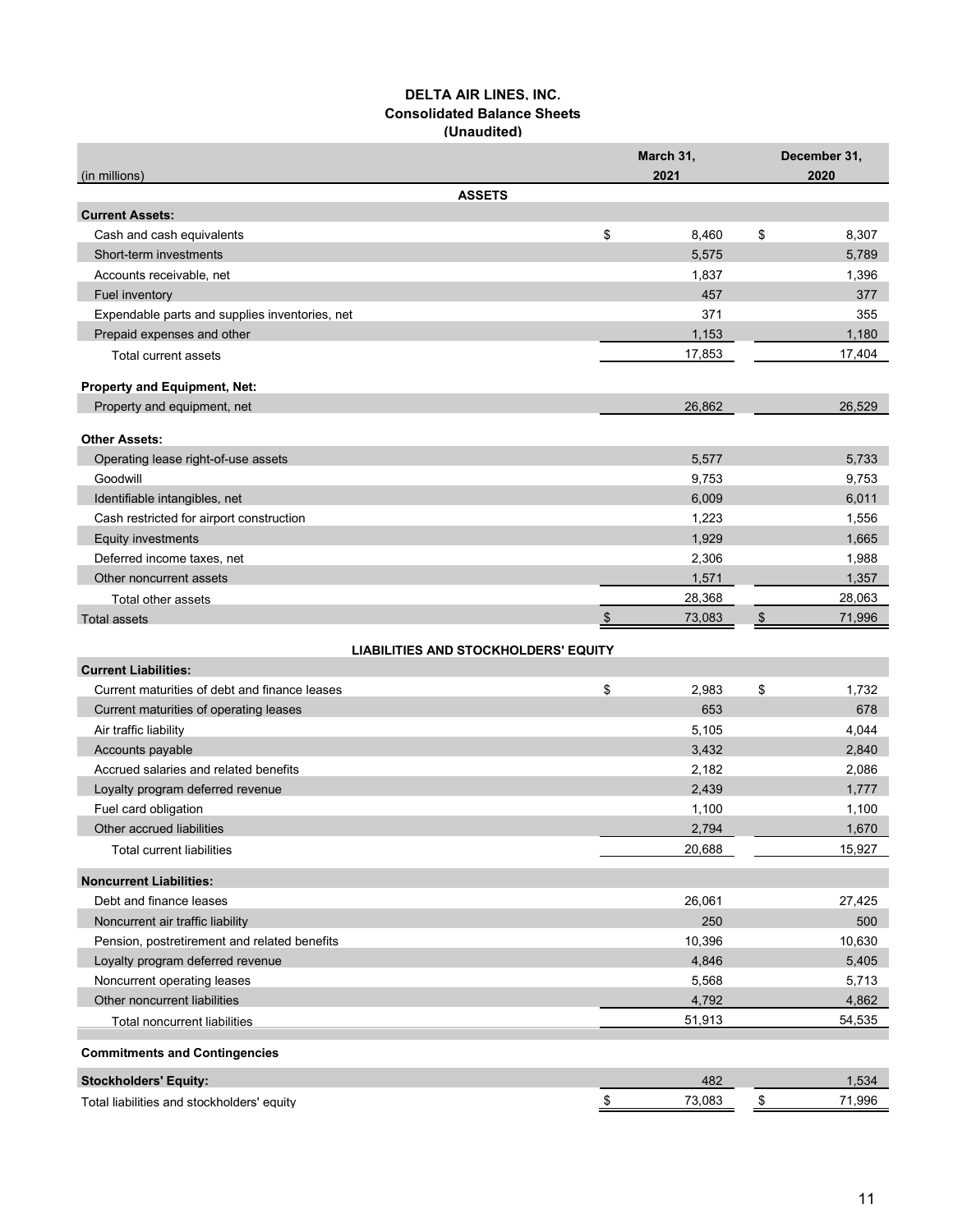#### **DELTA AIR LINES, INC. Consolidated Balance Sheets (Unaudited)**

|                                                | March 31,  | December 31,                   |
|------------------------------------------------|------------|--------------------------------|
| (in millions)                                  | 2021       | 2020                           |
| <b>ASSETS</b><br><b>Current Assets:</b>        |            |                                |
| Cash and cash equivalents                      | \$         | \$<br>8,460<br>8,307           |
| Short-term investments                         |            | 5,575<br>5,789                 |
| Accounts receivable, net                       |            | 1,837<br>1,396                 |
| Fuel inventory                                 |            | 457<br>377                     |
| Expendable parts and supplies inventories, net |            | 371<br>355                     |
| Prepaid expenses and other                     |            | 1,153<br>1,180                 |
| Total current assets                           |            | 17,853<br>17,404               |
|                                                |            |                                |
| Property and Equipment, Net:                   |            |                                |
| Property and equipment, net                    |            | 26,862<br>26,529               |
| <b>Other Assets:</b>                           |            |                                |
| Operating lease right-of-use assets            |            | 5,577<br>5,733                 |
| Goodwill                                       |            | 9,753<br>9,753                 |
| Identifiable intangibles, net                  |            | 6,009<br>6,011                 |
| Cash restricted for airport construction       |            | 1,223<br>1,556                 |
| Equity investments                             |            | 1,929<br>1,665                 |
| Deferred income taxes, net                     |            | 2,306<br>1,988                 |
| Other noncurrent assets                        |            | 1,571<br>1,357                 |
| Total other assets                             |            | 28,368<br>28,063               |
| <b>Total assets</b>                            | \$         | 73,083<br>71,996<br>\$         |
| <b>LIABILITIES AND STOCKHOLDERS' EQUITY</b>    |            |                                |
| <b>Current Liabilities:</b>                    |            |                                |
| Current maturities of debt and finance leases  | \$         | \$<br>1,732<br>2,983           |
| Current maturities of operating leases         |            | 653<br>678                     |
| Air traffic liability                          |            | 4,044<br>5,105                 |
| Accounts payable                               |            | 3,432<br>2,840                 |
| Accrued salaries and related benefits          |            | 2,182<br>2,086                 |
| Loyalty program deferred revenue               |            | 2,439<br>1,777                 |
| Fuel card obligation                           |            | 1,100<br>1,100                 |
| Other accrued liabilities                      |            | 2,794<br>1,670                 |
| <b>Total current liabilities</b>               |            | 20,688<br>15,927               |
| <b>Noncurrent Liabilities:</b>                 |            |                                |
| Debt and finance leases                        |            | 26,061<br>27,425               |
| Noncurrent air traffic liability               |            | 250<br>500                     |
| Pension, postretirement and related benefits   |            | 10,396<br>10,630               |
| Loyalty program deferred revenue               |            | 4,846<br>5,405                 |
| Noncurrent operating leases                    |            | 5,713<br>5,568                 |
| Other noncurrent liabilities                   |            | 4,792<br>4,862                 |
| Total noncurrent liabilities                   |            | 51,913<br>54,535               |
| <b>Commitments and Contingencies</b>           |            |                                |
| <b>Stockholders' Equity:</b>                   |            | 482<br>1,534                   |
| Total liabilities and stockholders' equity     | $\sqrt{2}$ | 73,083<br>71,996<br>$\sqrt{2}$ |
|                                                |            |                                |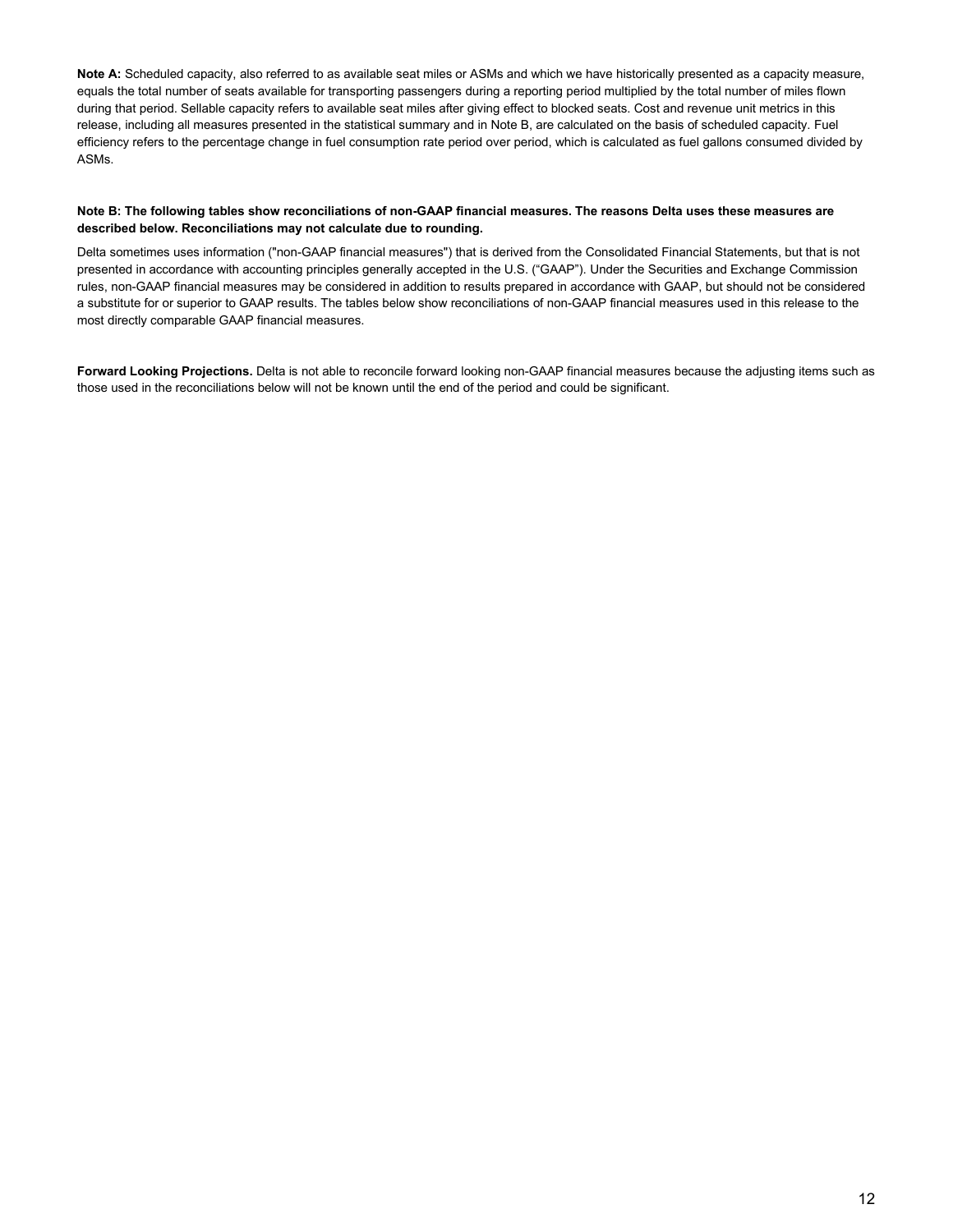**Note A:** Scheduled capacity, also referred to as available seat miles or ASMs and which we have historically presented as a capacity measure, equals the total number of seats available for transporting passengers during a reporting period multiplied by the total number of miles flown during that period. Sellable capacity refers to available seat miles after giving effect to blocked seats. Cost and revenue unit metrics in this release, including all measures presented in the statistical summary and in Note B, are calculated on the basis of scheduled capacity. Fuel efficiency refers to the percentage change in fuel consumption rate period over period, which is calculated as fuel gallons consumed divided by ASMs.

#### **Note B: The following tables show reconciliations of non-GAAP financial measures. The reasons Delta uses these measures are described below. Reconciliations may not calculate due to rounding.**

Delta sometimes uses information ("non-GAAP financial measures") that is derived from the Consolidated Financial Statements, but that is not presented in accordance with accounting principles generally accepted in the U.S. ("GAAP"). Under the Securities and Exchange Commission rules, non-GAAP financial measures may be considered in addition to results prepared in accordance with GAAP, but should not be considered a substitute for or superior to GAAP results. The tables below show reconciliations of non-GAAP financial measures used in this release to the most directly comparable GAAP financial measures.

**Forward Looking Projections.** Delta is not able to reconcile forward looking non-GAAP financial measures because the adjusting items such as those used in the reconciliations below will not be known until the end of the period and could be significant.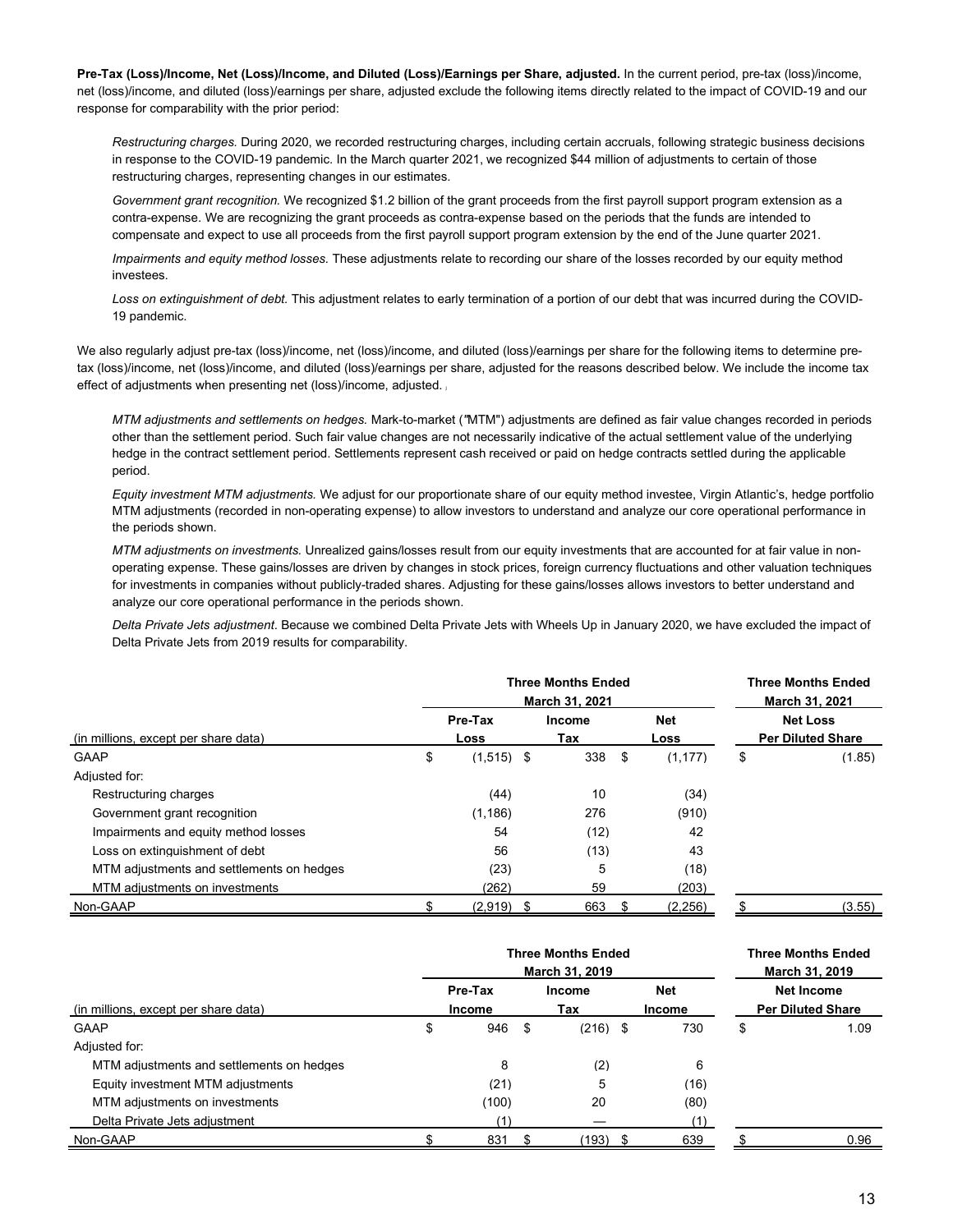**Pre-Tax (Loss)/Income, Net (Loss)/Income, and Diluted (Loss)/Earnings per Share, adjusted.** In the current period, pre-tax (loss)/income, net (loss)/income, and diluted (loss)/earnings per share, adjusted exclude the following items directly related to the impact of COVID-19 and our response for comparability with the prior period:

*Restructuring charges.* During 2020, we recorded restructuring charges, including certain accruals, following strategic business decisions in response to the COVID-19 pandemic. In the March quarter 2021, we recognized \$44 million of adjustments to certain of those restructuring charges, representing changes in our estimates.

*Government grant recognition.* We recognized \$1.2 billion of the grant proceeds from the first payroll support program extension as a contra-expense. We are recognizing the grant proceeds as contra-expense based on the periods that the funds are intended to compensate and expect to use all proceeds from the first payroll support program extension by the end of the June quarter 2021.

*Impairments and equity method losses.* These adjustments relate to recording our share of the losses recorded by our equity method investees.

*Loss on extinguishment of debt.* This adjustment relates to early termination of a portion of our debt that was incurred during the COVID-19 pandemic.

We also regularly adjust pre-tax (loss)/income, net (loss)/income, and diluted (loss)/earnings per share for the following items to determine pretax (loss)/income, net (loss)/income, and diluted (loss)/earnings per share, adjusted for the reasons described below. We include the income tax effect of adjustments when presenting net (loss)/income, adjusted.

*MTM adjustments and settlements on hedges.* Mark-to-market (*"*MTM") adjustments are defined as fair value changes recorded in periods other than the settlement period. Such fair value changes are not necessarily indicative of the actual settlement value of the underlying hedge in the contract settlement period. Settlements represent cash received or paid on hedge contracts settled during the applicable period.

*Equity investment MTM adjustments.* We adjust for our proportionate share of our equity method investee, Virgin Atlantic's, hedge portfolio MTM adjustments (recorded in non-operating expense) to allow investors to understand and analyze our core operational performance in the periods shown.

*MTM adjustments on investments.* Unrealized gains/losses result from our equity investments that are accounted for at fair value in nonoperating expense. These gains/losses are driven by changes in stock prices, foreign currency fluctuations and other valuation techniques for investments in companies without publicly-traded shares. Adjusting for these gains/losses allows investors to better understand and analyze our core operational performance in the periods shown.

*Delta Private Jets adjustment*. Because we combined Delta Private Jets with Wheels Up in January 2020, we have excluded the impact of Delta Private Jets from 2019 results for comparability.

|                                           | <b>Three Months Ended</b><br>March 31, 2021 |              |  |               |      |            | <b>Three Months Ended</b><br>March 31, 2021 |
|-------------------------------------------|---------------------------------------------|--------------|--|---------------|------|------------|---------------------------------------------|
|                                           |                                             | Pre-Tax      |  | <b>Income</b> |      | <b>Net</b> | <b>Net Loss</b>                             |
| (in millions, except per share data)      |                                             | Loss         |  | Tax           |      | Loss       | <b>Per Diluted Share</b>                    |
| <b>GAAP</b>                               | \$                                          | $(1,515)$ \$ |  | 338           | - \$ | (1.177)    | \$<br>(1.85)                                |
| Adjusted for:                             |                                             |              |  |               |      |            |                                             |
| Restructuring charges                     |                                             | (44)         |  | 10            |      | (34)       |                                             |
| Government grant recognition              |                                             | (1.186)      |  | 276           |      | (910)      |                                             |
| Impairments and equity method losses      |                                             | 54           |  | (12)          |      | 42         |                                             |
| Loss on extinguishment of debt            |                                             | 56           |  | (13)          |      | 43         |                                             |
| MTM adjustments and settlements on hedges |                                             | (23)         |  | 5             |      | (18)       |                                             |
| MTM adjustments on investments            |                                             | (262)        |  | 59            |      | (203)      |                                             |
| Non-GAAP                                  |                                             | $(2,919)$ \$ |  | 663           |      | (2,256)    | (3.55)                                      |

|                                           | <b>Three Months Ended</b>  | <b>Three Months Ended</b><br>March 31, 2019 |               |                             |                                        |      |  |  |
|-------------------------------------------|----------------------------|---------------------------------------------|---------------|-----------------------------|----------------------------------------|------|--|--|
| (in millions, except per share data)      | Pre-Tax                    |                                             | Income<br>Tax | <b>Net</b><br><b>Income</b> | Net Income<br><b>Per Diluted Share</b> |      |  |  |
| GAAP                                      | \$<br><b>Income</b><br>946 | - \$                                        | $(216)$ \$    | 730                         | \$                                     | 1.09 |  |  |
| Adiusted for:                             |                            |                                             |               |                             |                                        |      |  |  |
| MTM adjustments and settlements on hedges | 8                          |                                             | (2)           | 6                           |                                        |      |  |  |
| Equity investment MTM adjustments         | (21)                       |                                             | 5             | (16)                        |                                        |      |  |  |
| MTM adjustments on investments            | (100)                      |                                             | 20            | (80)                        |                                        |      |  |  |
| Delta Private Jets adiustment             |                            |                                             |               | (1)                         |                                        |      |  |  |
| Non-GAAP                                  | 831                        |                                             | (193)         | 639                         |                                        | 0.96 |  |  |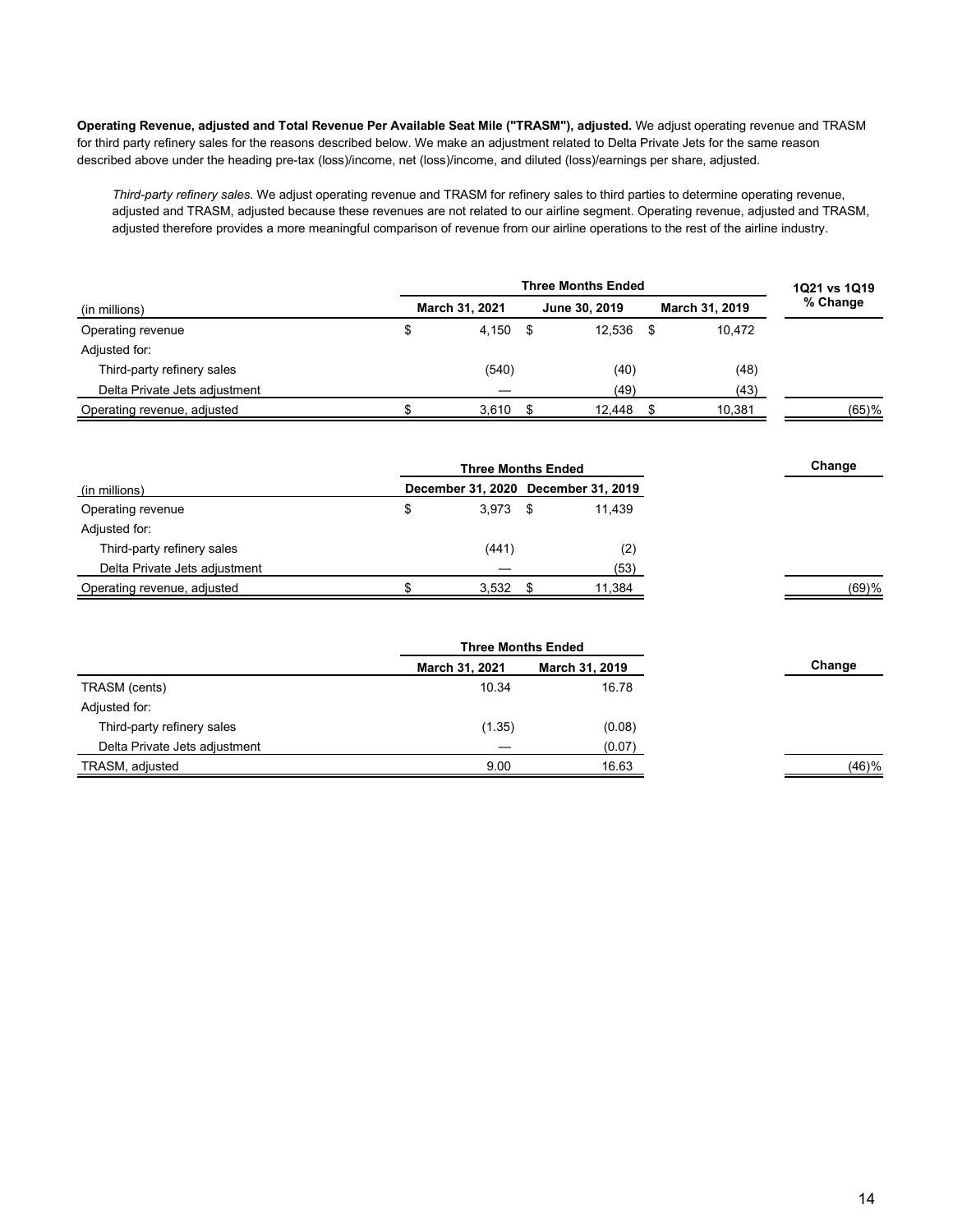**Operating Revenue, adjusted and Total Revenue Per Available Seat Mile ("TRASM"), adjusted.** We adjust operating revenue and TRASM for third party refinery sales for the reasons described below. We make an adjustment related to Delta Private Jets for the same reason described above under the heading pre-tax (loss)/income, net (loss)/income, and diluted (loss)/earnings per share, adjusted.

*Third-party refinery sales.* We adjust operating revenue and TRASM for refinery sales to third parties to determine operating revenue, adjusted and TRASM, adjusted because these revenues are not related to our airline segment. Operating revenue, adjusted and TRASM, adjusted therefore provides a more meaningful comparison of revenue from our airline operations to the rest of the airline industry.

|                               | <b>Three Months Ended</b> |       |  |               |    |                |          |  |  |
|-------------------------------|---------------------------|-------|--|---------------|----|----------------|----------|--|--|
| (in millions)                 | March 31, 2021            |       |  | June 30, 2019 |    | March 31, 2019 | % Change |  |  |
| Operating revenue             | \$                        | 4,150 |  | 12.536        | \$ | 10.472         |          |  |  |
| Adjusted for:                 |                           |       |  |               |    |                |          |  |  |
| Third-party refinery sales    |                           | (540) |  | (40)          |    | (48)           |          |  |  |
| Delta Private Jets adjustment |                           |       |  | (49)          |    | (43)           |          |  |  |
| Operating revenue, adjusted   |                           | 3.610 |  | 12,448        |    | 10,381         | $(65)$ % |  |  |

| <b>Three Months Ended</b>     |   |            |  |                                     |
|-------------------------------|---|------------|--|-------------------------------------|
| (in millions)                 |   |            |  | December 31, 2020 December 31, 2019 |
| Operating revenue             | Φ | $3.973$ \$ |  | 11.439                              |
| Adjusted for:                 |   |            |  |                                     |
| Third-party refinery sales    |   | (441)      |  | (2)                                 |
| Delta Private Jets adjustment |   |            |  | (53)                                |
| Operating revenue, adjusted   |   | 3,532      |  | 11,384                              |

| March 31, 2021 | March 31, 2019 | Change                    |
|----------------|----------------|---------------------------|
| 10.34          | 16.78          |                           |
|                |                |                           |
| (1.35)         | (0.08)         |                           |
|                | (0.07)         |                           |
| 9.00           | 16.63          | (46)%                     |
|                |                | <b>Three Months Ended</b> |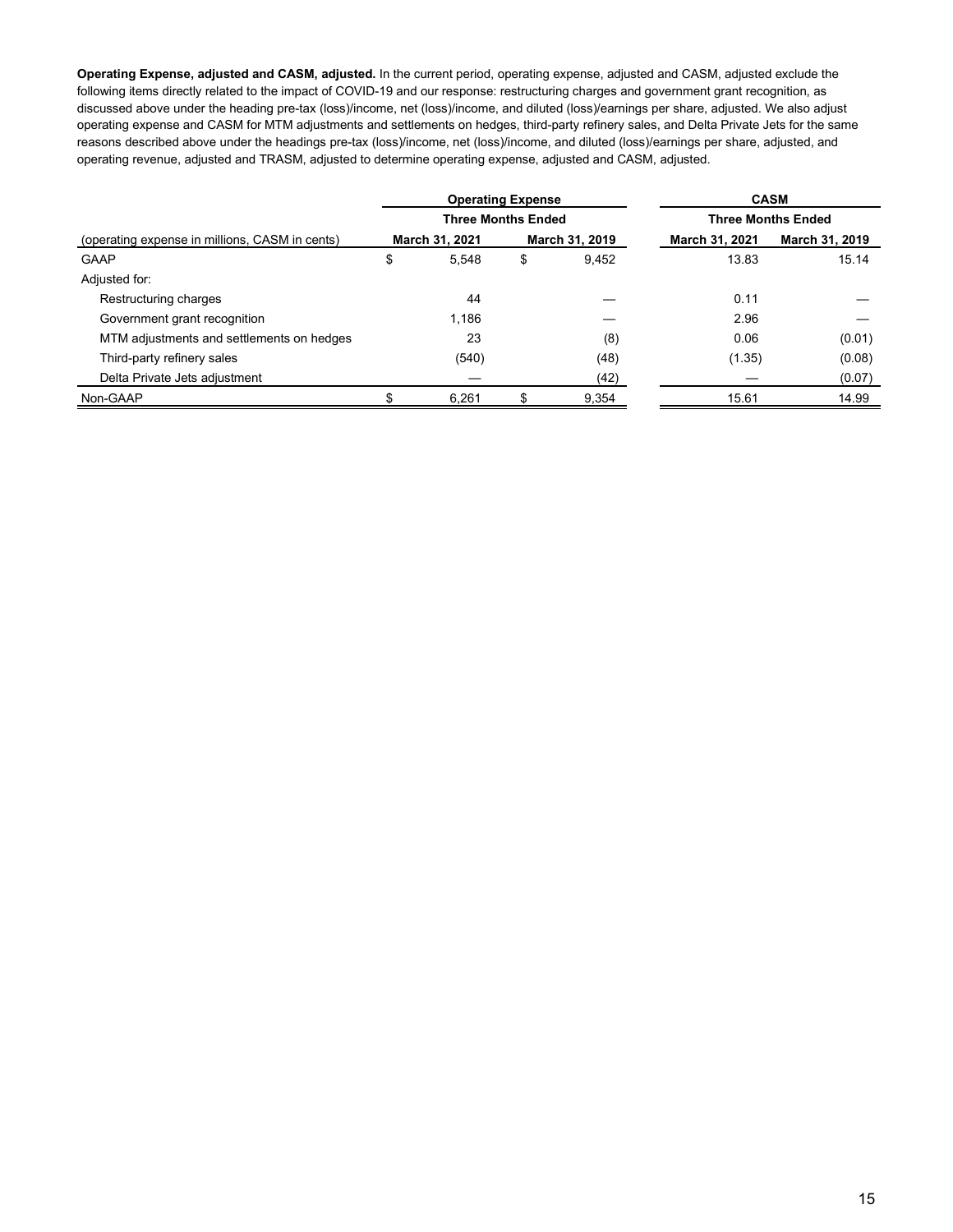**Operating Expense, adjusted and CASM, adjusted.** In the current period, operating expense, adjusted and CASM, adjusted exclude the following items directly related to the impact of COVID-19 and our response: restructuring charges and government grant recognition, as discussed above under the heading pre-tax (loss)/income, net (loss)/income, and diluted (loss)/earnings per share, adjusted. We also adjust operating expense and CASM for MTM adjustments and settlements on hedges, third-party refinery sales, and Delta Private Jets for the same reasons described above under the headings pre-tax (loss)/income, net (loss)/income, and diluted (loss)/earnings per share, adjusted, and operating revenue, adjusted and TRASM, adjusted to determine operating expense, adjusted and CASM, adjusted.

|                                                | <b>Operating Expense</b>  |                | <b>CASM</b>               |                |  |  |  |  |
|------------------------------------------------|---------------------------|----------------|---------------------------|----------------|--|--|--|--|
|                                                | <b>Three Months Ended</b> |                | <b>Three Months Ended</b> |                |  |  |  |  |
| (operating expense in millions, CASM in cents) | <b>March 31, 2021</b>     | March 31, 2019 | March 31, 2021            | March 31, 2019 |  |  |  |  |
| <b>GAAP</b>                                    | \$<br>5.548               | \$<br>9.452    | 13.83                     | 15.14          |  |  |  |  |
| Adjusted for:                                  |                           |                |                           |                |  |  |  |  |
| Restructuring charges                          | 44                        |                | 0.11                      |                |  |  |  |  |
| Government grant recognition                   | 1.186                     |                | 2.96                      |                |  |  |  |  |
| MTM adjustments and settlements on hedges      | 23                        | (8)            | 0.06                      | (0.01)         |  |  |  |  |
| Third-party refinery sales                     | (540)                     | (48)           | (1.35)                    | (0.08)         |  |  |  |  |
| Delta Private Jets adjustment                  |                           | (42)           |                           | (0.07)         |  |  |  |  |
| Non-GAAP                                       | 6.261                     | 9,354          | 15.61                     | 14.99          |  |  |  |  |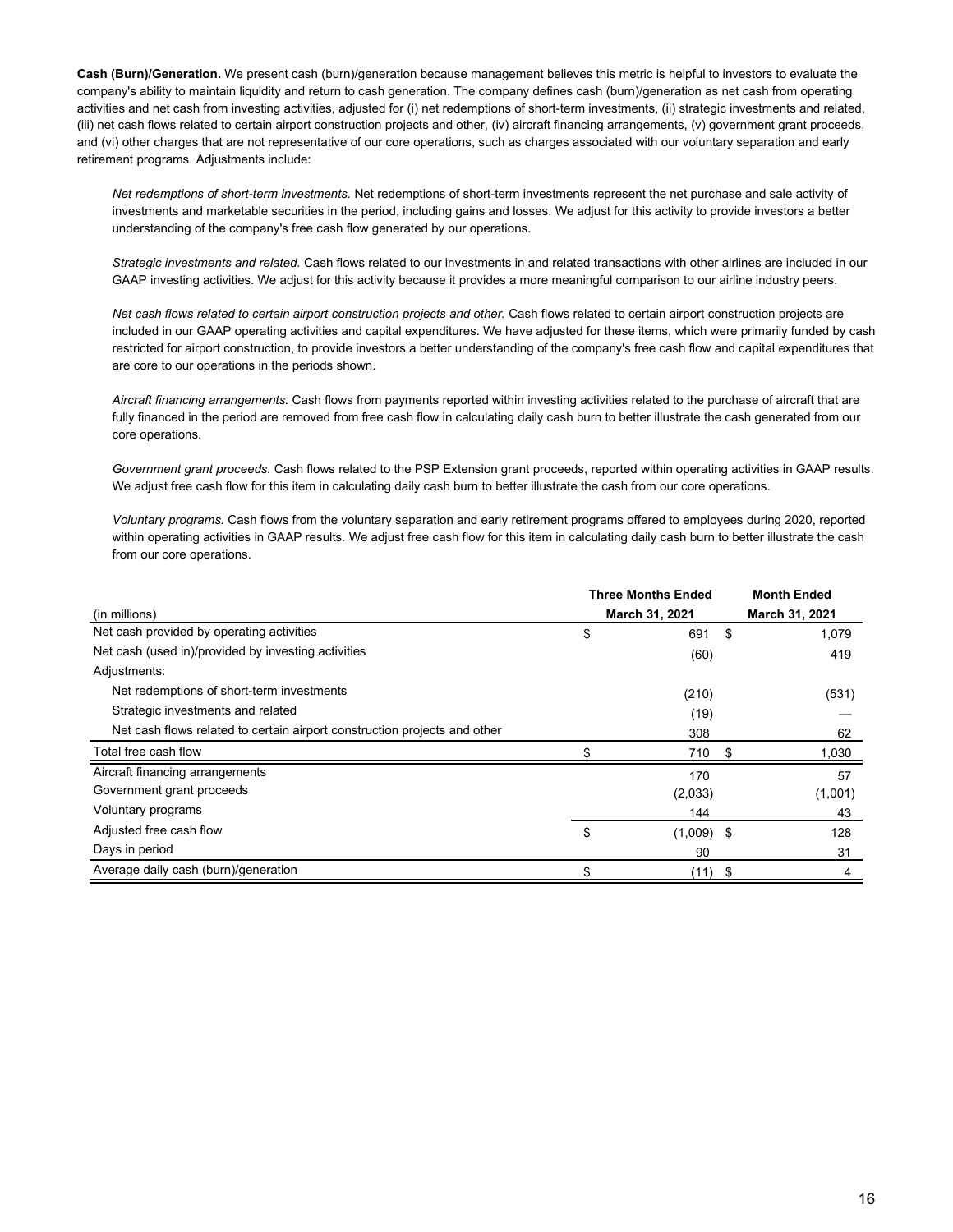**Cash (Burn)/Generation.** We present cash (burn)/generation because management believes this metric is helpful to investors to evaluate the company's ability to maintain liquidity and return to cash generation. The company defines cash (burn)/generation as net cash from operating activities and net cash from investing activities, adjusted for (i) net redemptions of short-term investments, (ii) strategic investments and related, (iii) net cash flows related to certain airport construction projects and other, (iv) aircraft financing arrangements, (v) government grant proceeds, and (vi) other charges that are not representative of our core operations, such as charges associated with our voluntary separation and early retirement programs. Adjustments include:

*Net redemptions of short-term investments.* Net redemptions of short-term investments represent the net purchase and sale activity of investments and marketable securities in the period, including gains and losses. We adjust for this activity to provide investors a better understanding of the company's free cash flow generated by our operations.

*Strategic investments and related.* Cash flows related to our investments in and related transactions with other airlines are included in our GAAP investing activities. We adjust for this activity because it provides a more meaningful comparison to our airline industry peers.

*Net cash flows related to certain airport construction projects and other.* Cash flows related to certain airport construction projects are included in our GAAP operating activities and capital expenditures. We have adjusted for these items, which were primarily funded by cash restricted for airport construction, to provide investors a better understanding of the company's free cash flow and capital expenditures that are core to our operations in the periods shown.

*Aircraft financing arrangements.* Cash flows from payments reported within investing activities related to the purchase of aircraft that are fully financed in the period are removed from free cash flow in calculating daily cash burn to better illustrate the cash generated from our core operations.

*Government grant proceeds.* Cash flows related to the PSP Extension grant proceeds, reported within operating activities in GAAP results. We adjust free cash flow for this item in calculating daily cash burn to better illustrate the cash from our core operations.

*Voluntary programs.* Cash flows from the voluntary separation and early retirement programs offered to employees during 2020, reported within operating activities in GAAP results. We adjust free cash flow for this item in calculating daily cash burn to better illustrate the cash from our core operations.

|                                                                           | Three Months Ended |      | <b>Month Ended</b> |
|---------------------------------------------------------------------------|--------------------|------|--------------------|
| (in millions)                                                             | March 31, 2021     |      | March 31, 2021     |
| Net cash provided by operating activities                                 | \$<br>691          | -\$  | 1,079              |
| Net cash (used in)/provided by investing activities                       | (60)               |      | 419                |
| Adjustments:                                                              |                    |      |                    |
| Net redemptions of short-term investments                                 | (210)              |      | (531)              |
| Strategic investments and related                                         | (19)               |      |                    |
| Net cash flows related to certain airport construction projects and other | 308                |      | 62                 |
| Total free cash flow                                                      | 710                | -96  | 1,030              |
| Aircraft financing arrangements                                           | 170                |      | 57                 |
| Government grant proceeds                                                 | (2,033)            |      | (1,001)            |
| Voluntary programs                                                        | 144                |      | 43                 |
| Adjusted free cash flow                                                   | \$<br>$(1,009)$ \$ |      | 128                |
| Days in period                                                            | 90                 |      | 31                 |
| Average daily cash (burn)/generation                                      | \$<br>(11)         | - \$ | 4                  |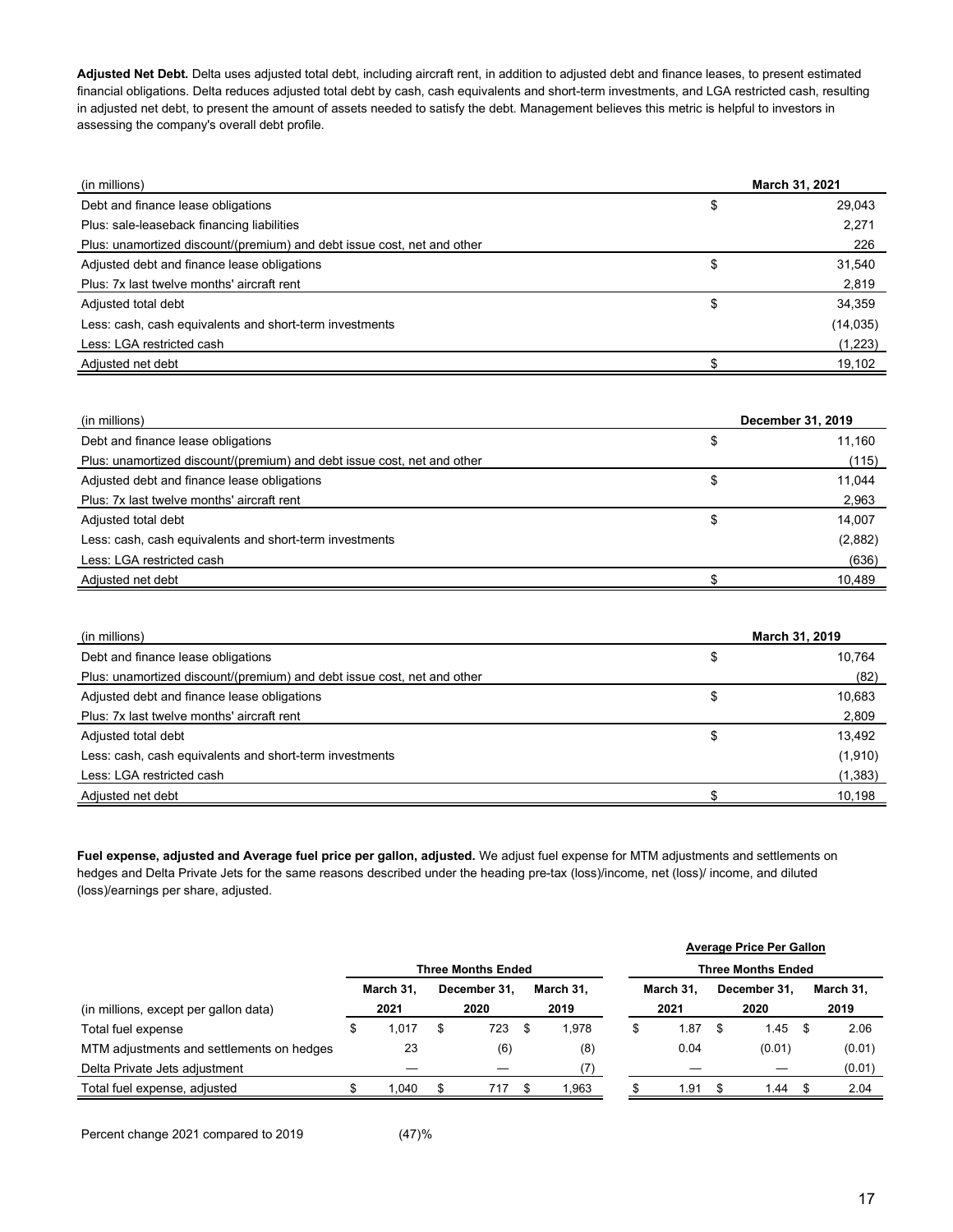**Adjusted Net Debt.** Delta uses adjusted total debt, including aircraft rent, in addition to adjusted debt and finance leases, to present estimated financial obligations. Delta reduces adjusted total debt by cash, cash equivalents and short-term investments, and LGA restricted cash, resulting in adjusted net debt, to present the amount of assets needed to satisfy the debt. Management believes this metric is helpful to investors in assessing the company's overall debt profile.

| (in millions)                                                           | March 31, 2021 |  |  |  |
|-------------------------------------------------------------------------|----------------|--|--|--|
| Debt and finance lease obligations                                      | \$<br>29,043   |  |  |  |
| Plus: sale-leaseback financing liabilities                              | 2,271          |  |  |  |
| Plus: unamortized discount/(premium) and debt issue cost, net and other | 226            |  |  |  |
| Adjusted debt and finance lease obligations                             | \$<br>31,540   |  |  |  |
| Plus: 7x last twelve months' aircraft rent                              | 2,819          |  |  |  |
| Adjusted total debt                                                     | \$<br>34,359   |  |  |  |
| Less: cash, cash equivalents and short-term investments                 | (14, 035)      |  |  |  |
| Less: LGA restricted cash                                               | (1,223)        |  |  |  |
| Adjusted net debt                                                       | 19,102         |  |  |  |

| (in millions)                                                           | December 31, 2019 |         |  |  |
|-------------------------------------------------------------------------|-------------------|---------|--|--|
| Debt and finance lease obligations                                      | \$                | 11,160  |  |  |
| Plus: unamortized discount/(premium) and debt issue cost, net and other |                   | (115)   |  |  |
| Adjusted debt and finance lease obligations                             | \$                | 11,044  |  |  |
| Plus: 7x last twelve months' aircraft rent                              |                   | 2,963   |  |  |
| Adjusted total debt                                                     | \$                | 14,007  |  |  |
| Less: cash, cash equivalents and short-term investments                 |                   | (2,882) |  |  |
| Less: LGA restricted cash                                               |                   | (636)   |  |  |
| Adjusted net debt                                                       |                   | 10,489  |  |  |

| (in millions)                                                           | March 31, 2019 |
|-------------------------------------------------------------------------|----------------|
| Debt and finance lease obligations<br>\$                                | 10,764         |
| Plus: unamortized discount/(premium) and debt issue cost, net and other | (82)           |
| Adjusted debt and finance lease obligations<br>\$                       | 10,683         |
| Plus: 7x last twelve months' aircraft rent                              | 2,809          |
| Adjusted total debt<br>\$                                               | 13,492         |
| Less: cash, cash equivalents and short-term investments                 | (1,910)        |
| Less: LGA restricted cash                                               | (1, 383)       |
| Adjusted net debt                                                       | 10,198         |

**Fuel expense, adjusted and Average fuel price per gallon, adjusted.** We adjust fuel expense for MTM adjustments and settlements on hedges and Delta Private Jets for the same reasons described under the heading pre-tax (loss)/income, net (loss)/ income, and diluted (loss)/earnings per share, adjusted.

|                                           |              |   |                           |     |           | <b>Average Price Per Gallon</b> |           |   |              |  |           |  |
|-------------------------------------------|--------------|---|---------------------------|-----|-----------|---------------------------------|-----------|---|--------------|--|-----------|--|
|                                           |              |   | <b>Three Months Ended</b> |     |           | <b>Three Months Ended</b>       |           |   |              |  |           |  |
|                                           | March 31.    |   | December 31.              |     | March 31. |                                 | March 31. |   | December 31. |  | March 31. |  |
| (in millions, except per gallon data)     | 2021         |   | 2020                      |     | 2019      |                                 | 2021      |   | 2020         |  | 2019      |  |
| Total fuel expense                        | \$<br>017. ا | S | 723                       | SS. | 1.978     | \$                              | 1.87      | S | 1.45         |  | 2.06      |  |
| MTM adjustments and settlements on hedges | 23           |   | (6)                       |     | (8)       |                                 | 0.04      |   | (0.01)       |  | (0.01)    |  |
| Delta Private Jets adjustment             |              |   |                           |     |           |                                 |           |   |              |  | (0.01)    |  |
| Total fuel expense, adjusted              | .040         |   | 717                       |     | 1,963     |                                 | 1.91      |   | 1.44         |  | 2.04      |  |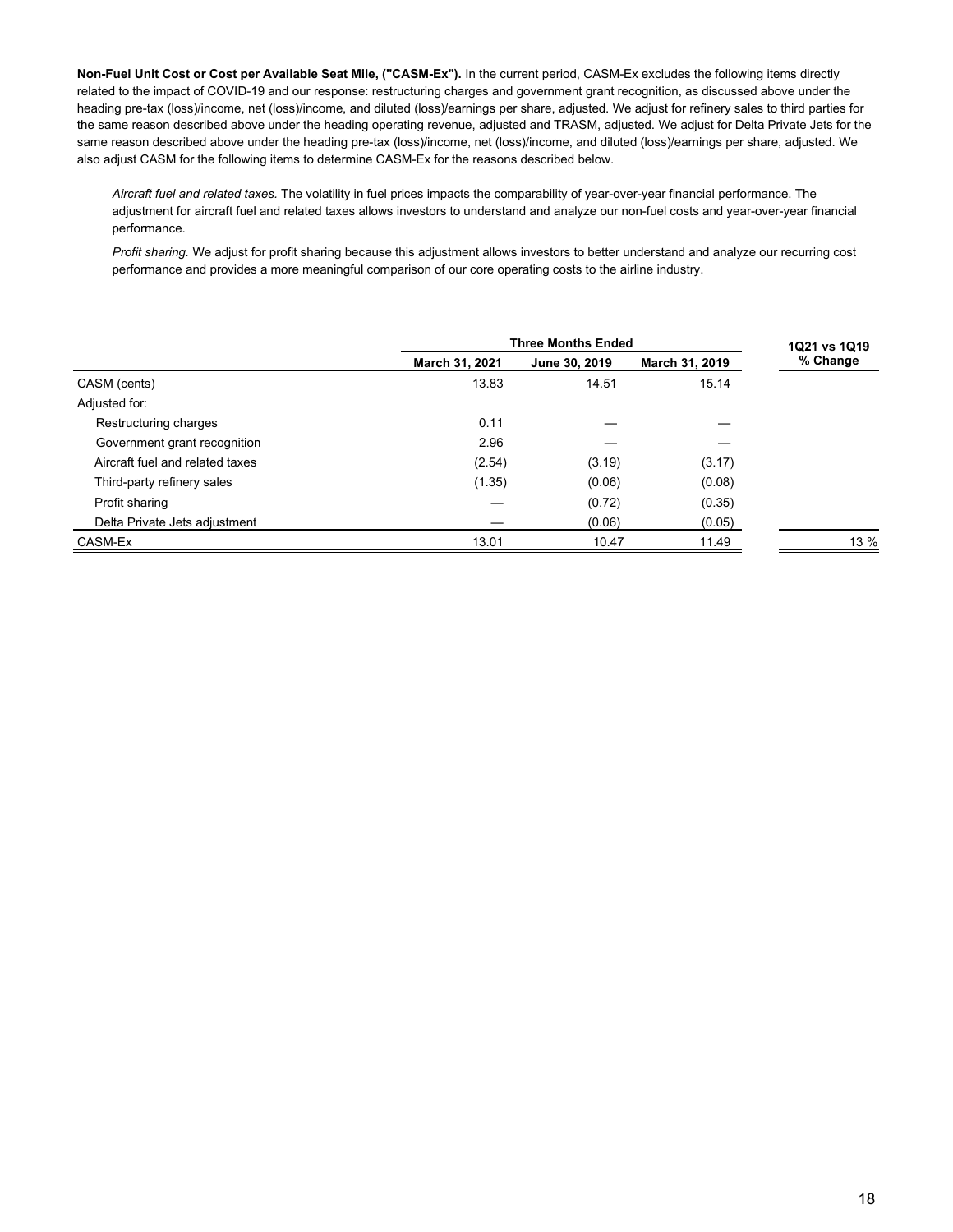**Non-Fuel Unit Cost or Cost per Available Seat Mile, ("CASM-Ex").** In the current period, CASM-Ex excludes the following items directly related to the impact of COVID-19 and our response: restructuring charges and government grant recognition, as discussed above under the heading pre-tax (loss)/income, net (loss)/income, and diluted (loss)/earnings per share, adjusted. We adjust for refinery sales to third parties for the same reason described above under the heading operating revenue, adjusted and TRASM, adjusted. We adjust for Delta Private Jets for the same reason described above under the heading pre-tax (loss)/income, net (loss)/income, and diluted (loss)/earnings per share, adjusted. We also adjust CASM for the following items to determine CASM-Ex for the reasons described below.

*Aircraft fuel and related taxes.* The volatility in fuel prices impacts the comparability of year-over-year financial performance. The adjustment for aircraft fuel and related taxes allows investors to understand and analyze our non-fuel costs and year-over-year financial performance.

*Profit sharing.* We adjust for profit sharing because this adjustment allows investors to better understand and analyze our recurring cost performance and provides a more meaningful comparison of our core operating costs to the airline industry.

|                                 | <b>Three Months Ended</b> | 1Q21 vs 1Q19  |                |          |
|---------------------------------|---------------------------|---------------|----------------|----------|
|                                 | March 31, 2021            | June 30, 2019 | March 31, 2019 | % Change |
| CASM (cents)                    | 13.83                     | 14.51         | 15.14          |          |
| Adjusted for:                   |                           |               |                |          |
| Restructuring charges           | 0.11                      |               |                |          |
| Government grant recognition    | 2.96                      |               |                |          |
| Aircraft fuel and related taxes | (2.54)                    | (3.19)        | (3.17)         |          |
| Third-party refinery sales      | (1.35)                    | (0.06)        | (0.08)         |          |
| Profit sharing                  |                           | (0.72)        | (0.35)         |          |
| Delta Private Jets adjustment   |                           | (0.06)        | (0.05)         |          |
| CASM-Ex                         | 13.01                     | 10.47         | 11.49          | $13\%$   |